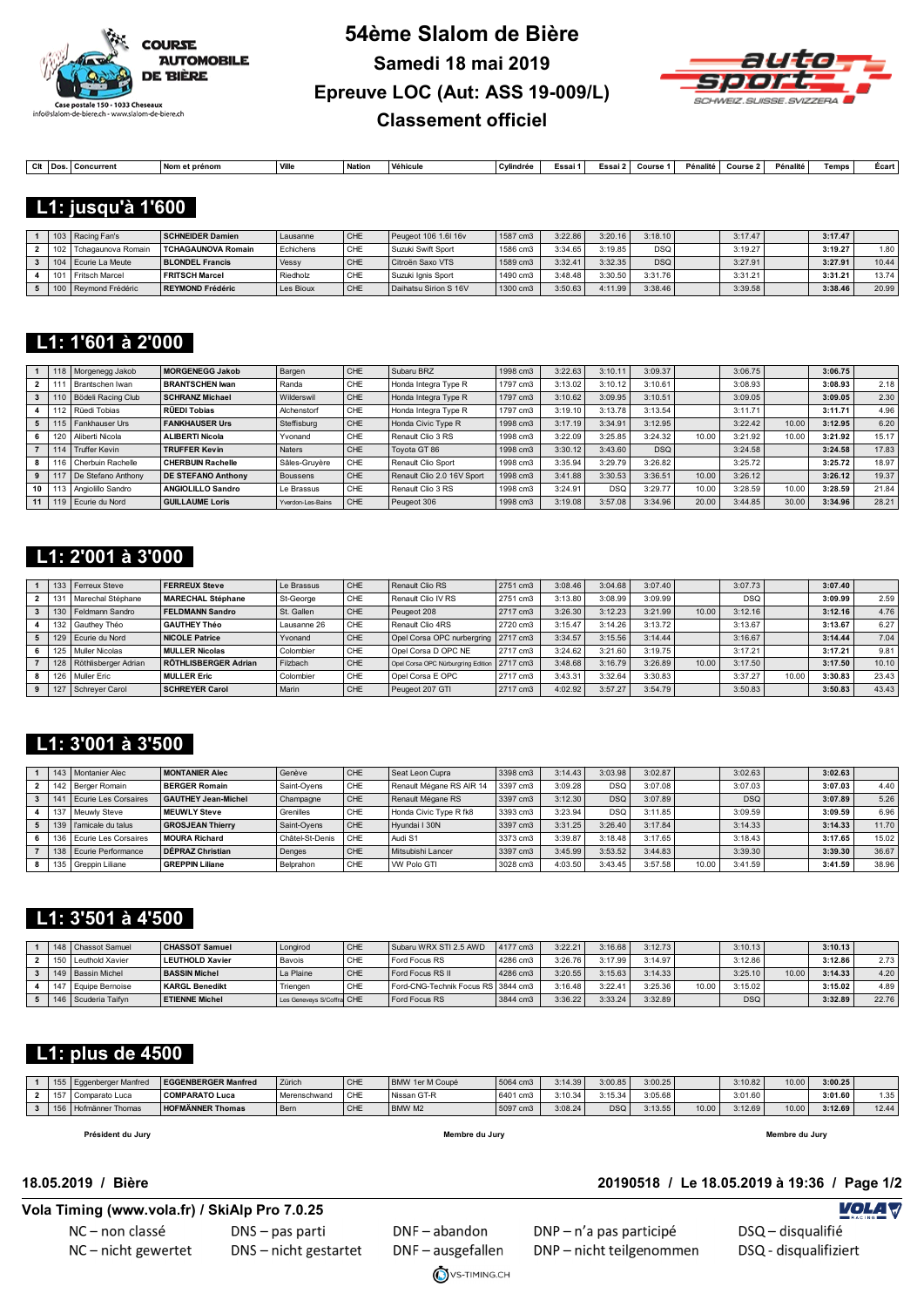



| Clt | <b>oncurrent</b> | Nom<br>m et prénom | Ville | <b>Nation</b> | Véhicule | Cylindrée | Essai ' | Essai : | Course | Pénalité | Course: | Pénalité | Temps | Ecar |
|-----|------------------|--------------------|-------|---------------|----------|-----------|---------|---------|--------|----------|---------|----------|-------|------|
|     |                  |                    |       |               |          |           |         |         |        |          |         |          |       |      |

#### **L1: jusqu'à 1'600**

|     | 103   Racing Fan's   | <b>SCHNEIDER Damien</b>   | Lausanne  | <b>CHE</b> | Peugeot 106 1.6 16v   | 1587 cm3 | 3:22.86 | 3:20.16 | 3:18.10    | 3:17.47  | 3:17.47 |       |
|-----|----------------------|---------------------------|-----------|------------|-----------------------|----------|---------|---------|------------|----------|---------|-------|
| 102 | Tchagaunova Romain   | <b>TCHAGAUNOVA Romain</b> | Echichens | CHE        | Suzuki Swift Sport    | 1586 cm3 | 3:34.65 | 3:19.85 | <b>DSQ</b> | 3:19.27  | 3:19.27 | 1.80  |
| 104 | Ecurie La Meute      | <b>BLONDEL Francis</b>    | Vessy     | <b>CHE</b> | Citroën Saxo VTS      | 1589 cm3 | 3:32.4' | 3:32.35 | <b>DSQ</b> | 3:27.91  | 3:27.91 | 10.44 |
|     | Fritsch Marcel       | <b>FRITSCH Marcel</b>     | Riedholz  | CHE        | Suzuki Ignis Sport    | 1490 cm3 | 3:48.48 | 3:30.50 | 3:31.76    | 3:31.211 | 3:31.21 | 13.74 |
|     | 100 Reymond Frédéric | REYMOND Frédéric          | Les Bioux | CHE        | Daihatsu Sirion S 16V | 1300 cm3 | 3:50.63 | 4:11.99 | 3:38.46    | 3:39.58  | 3:38.46 | 20.99 |

#### **L1: 1'601 à 2'000**

|    |     | 118   Morgenegg Jakob     | <b>MORGENEGG Jakob</b>    | Bargen            | CHE | Subaru BRZ                 | 1998 cm3 | 3:22.63 | 3:10.1     | 3:09.37    |       | 3:06.75 |       | 3:06.75 |       |
|----|-----|---------------------------|---------------------------|-------------------|-----|----------------------------|----------|---------|------------|------------|-------|---------|-------|---------|-------|
|    |     | Brantschen Iwan           | <b>BRANTSCHEN Iwan</b>    | Randa             | CHE | Honda Integra Type R       | 1797 cm3 | 3:13.02 | 3:10.12    | 3:10.61    |       | 3:08.93 |       | 3:08.93 | 2.18  |
|    |     | 110   Bödeli Racing Club  | <b>SCHRANZ Michael</b>    | Wilderswil        | CHE | Honda Integra Type R       | 1797 cm3 | 3:10.62 | 3:09.95    | 3:10.51    |       | 3:09.05 |       | 3:09.05 | 2.30  |
|    |     | 112   Rüedi Tobias        | <b>RÜEDI Tobias</b>       | Alchenstorf       | CHE | Honda Integra Type R       | 1797 cm3 | 3:19.10 | 3:13.78    | 3:13.54    |       | 3:11.71 |       | 3:11.71 | 4.96  |
|    |     | 115   Fankhauser Urs      | <b>FANKHAUSER Urs</b>     | Steffisburg       | CHE | Honda Civic Type R         | 1998 cm3 | 3:17.19 | 3:34.91    | 3:12.95    |       | 3:22.42 | 10.00 | 3:12.95 | 6.20  |
|    |     | 120   Aliberti Nicola     | <b>ALIBERTI Nicola</b>    | Yvonand           | CHE | Renault Clio 3 RS          | 1998 cm3 | 3:22.09 | 3:25.85    | 3:24.32    | 10.00 | 3:21.92 | 10.00 | 3:21.92 | 15.17 |
|    | 114 | Truffer Kevin             | <b>TRUFFER Kevin</b>      | <b>Naters</b>     | CHE | Tovota GT 86               | 1998 cm3 | 3:30.12 | 3:43.60    | <b>DSQ</b> |       | 3:24.58 |       | 3:24.58 | 17.83 |
|    |     | Cherbuin Rachelle         | <b>CHERBUIN Rachelle</b>  | Sâles-Gruyère     | CHE | Renault Clio Sport         | 1998 cm3 | 3:35.94 | 3:29.79    | 3:26.82    |       | 3:25.72 |       | 3:25.72 | 18.97 |
| 9  |     | I De Stefano Anthony      | <b>DE STEFANO Anthony</b> | Boussens          | CHE | Renault Clio 2.0 16V Sport | 1998 cm3 | 3:41.88 | 3:30.53    | 3:36.51    | 10.00 | 3:26.12 |       | 3:26.12 | 19.37 |
| 10 |     | 113   Angiolillo Sandro   | <b>ANGIOLILLO Sandro</b>  | Le Brassus        | CHE | Renault Clio 3 RS          | 1998 cm3 | 3:24.91 | <b>DSQ</b> | 3:29.77    | 10.00 | 3:28.59 | 10.00 | 3:28.59 | 21.84 |
|    |     | 11   119   Ecurie du Nord | <b>GUILLAUME Loris</b>    | Yverdon-Les-Bains | CHE | Peugeot 306                | 1998 cm3 | 3:19.08 | 3:57.08    | 3:34.96    | 20.00 | 3:44.85 | 30.00 | 3:34.96 | 28.21 |

### **L1: 2'001 à 3'000**

|     | 133 Ferreux Steve    | <b>FERREUX Steve</b>     | Le Brassus  | CHE | Renault Clio RS                               | 2751 cm3 | 3:08.46 | 3:04.68 | 3:07.40 |       | 3:07.73    |       | 3:07.40 |       |
|-----|----------------------|--------------------------|-------------|-----|-----------------------------------------------|----------|---------|---------|---------|-------|------------|-------|---------|-------|
|     | Marechal Stéphane    | <b>MARECHAL Stéphane</b> | St-George   | CHE | Renault Clio IV RS                            | 2751 cm3 | 3:13.80 | 3:08.99 | 3:09.99 |       | <b>DSQ</b> |       | 3:09.99 | 2.59  |
|     | Feldmann Sandro      | <b>FELDMANN Sandro</b>   | St. Gallen  | CHE | Peugeot 208                                   | 2717 cm3 | 3:26.30 | 3:12.23 | 3:21.99 | 10.00 | 3:12.16    |       | 3:12.16 | 4.76  |
|     | 132 Gauthey Théo     | <b>GAUTHEY Théo</b>      | Lausanne 26 | CHE | Renault Clio 4RS                              | 2720 cm3 | 3:15.47 | 3:14.26 | 3:13.72 |       | 3:13.67    |       | 3:13.67 | 6.27  |
| 129 | Ecurie du Nord       | <b>NICOLE Patrice</b>    | Yvonand     | CHE | Opel Corsa OPC nurbergring   2717 cm3         |          | 3:34.57 | 3:15.56 | 3:14.44 |       | 3:16.67    |       | 3:14.44 | 7.04  |
| 125 | Muller Nicolas       | <b>MULLER Nicolas</b>    | Colombier   | CHE | Opel Corsa D OPC NE                           | 2717 cm3 | 3:24.62 | 3:21.60 | 3:19.75 |       | 3:17.21    |       | 3:17.21 | 9.81  |
| 128 | Röthlisberger Adrian | RÖTHLISBERGER Adrian     | Filzbach    | CHE | Opel Corsa OPC Nürburgring Edition   2717 cm3 |          | 3:48.68 | 3:16.79 | 3:26.89 | 10.00 | 3:17.50    |       | 3:17.50 | 10.10 |
| 126 | Muller Eric          | <b>MULLER Eric</b>       | Colombier   | CHE | Opel Corsa E OPC                              | 2717 cm3 | 3:43.31 | 3:32.64 | 3:30.83 |       | 3:37.27    | 10.00 | 3:30.83 | 23.43 |
|     | Schrever Carol       | <b>SCHREYER Carol</b>    | Marin       | CHE | Peugeot 207 GTI                               | 2717 cm3 | 4:02.92 | 3:57.27 | 3:54.79 |       | 3:50.83    |       | 3:50.83 | 43.43 |

### **L1: 3'001 à 3'500**

|     | 143   Montanier Alec | MONTANIER Alec             | Genève          | CHE | Seat Leon Cupra          | 3398 cm3 | 3:14.43 | 3:03.98    | 3:02.87 |       | 3:02.63    | 3:02.63 |       |
|-----|----------------------|----------------------------|-----------------|-----|--------------------------|----------|---------|------------|---------|-------|------------|---------|-------|
|     | 142 Berger Romain    | <b>BERGER Romain</b>       | Saint-Ovens     | CHE | Renault Mégane RS AIR 14 | 3397 cm3 | 3:09.28 | <b>DSC</b> | 3:07.08 |       | 3:07.03    | 3:07.03 | 4.40  |
|     | Ecurie Les Corsaires | <b>GAUTHEY Jean-Michel</b> | Champagne       | CHE | Renault Mégane RS        | 3397 cm3 | 3:12.30 | <b>DSC</b> | 3:07.89 |       | <b>DSQ</b> | 3:07.89 | 5.26  |
|     | Meuwly Steve         | <b>MEUWLY Steve</b>        | Grenilles       | CHE | Honda Civic Type R fk8   | 3393 cm3 | 3:23.94 | <b>DSC</b> | 3:11.85 |       | 3:09.59    | 3:09.59 | 6.96  |
| 139 | l l'amicale du talus | <b>GROSJEAN Thierry</b>    | Saint-Ovens     | CHE | Hyundai I 30N            | 3397 cm3 | 3:31.25 | 3:26.40    | 3:17.84 |       | 3:14.33    | 3:14.33 | 11.70 |
|     | Ecurie Les Corsaires | <b>MOURA Richard</b>       | Châtel-St-Denis | CHF | Audi S1                  | 3373 cm3 | 3:39.87 | 3:18.48    | 3:17.65 |       | 3:18.43    | 3:17.65 | 15.02 |
| 138 | Ecurie Performance   | DÉPRAZ Christian           | Denges          | CHE | Mitsubishi Lancer        | 3397 cm3 | 3:45.99 | 3:53.52    | 3:44.83 |       | 3:39.30    | 3:39.30 | 36.67 |
|     | 135 Greppin Liliane  | <b>GREPPIN Liliane</b>     | Belprahon       | CHE | <b>VW Polo GTI</b>       | 3028 cm3 | 4:03.50 | 3:43.45    | 3:57.58 | 10.00 | 3:41.59    | 3:41.59 | 38.96 |

#### **L1: 3'501 à 4'500**

|        | 148   Chassot Samuel  | <b>CHASSOT Samuel</b>  | Longirod                  | <sup>I</sup> CHE | Subaru WRX STI 2.5 AWD             | 4177 cm3 | 3:22.21 | 3:16.68 | 3:12.73 |       | 3:10.13    |       | 3:10.13 |       |
|--------|-----------------------|------------------------|---------------------------|------------------|------------------------------------|----------|---------|---------|---------|-------|------------|-------|---------|-------|
| دا 150 | Leuthold Xavier       | <b>LEUTHOLD Xavier</b> | Bavois                    | CHE              | Ford Focus RS                      | 4286 cm3 | 3:26.76 | 3:17.99 | 3:14.97 |       | 3:12.86    |       | 3:12.86 | 2.73  |
|        | 149   Bassin Michel   | <b>BASSIN Michel</b>   | La Plaine                 | CHE              | Ford Focus RS II                   | 4286 cm3 | 3:20.55 | 3:15.63 | 3:14.33 |       | 3:25.10    | 10.00 | 3:14.33 | 4.20  |
|        | 147   Eauipe Bernoise | <b>KARGL Benedikt</b>  | Triengen                  | CHE              | Ford-CNG-Technik Focus RS 3844 cm3 |          | 3:16.48 | 3:22.41 | 3:25.36 | 10.00 | 3:15.02    |       | 3:15.02 | 4.89  |
|        | 146 Scuderia Taifyn   | <b>ETIENNE Michel</b>  | Les Geneveys S/Coffra CHE |                  | Ford Focus RS                      | 3844 cm3 | 3:36.22 | 3:33.24 | 3:32.89 |       | <b>DSQ</b> |       | 3:32.89 | 22.76 |

### **L1: plus de 4500**

| 155           | Eqgenberger Manfred | <b>EGGENBERGER Manfred</b> | Zürich            | CHE        | BMW 1er M Coupé | 5064 cm3 | 3:14.39 | 3:00.85    | 3:00.25 |       | 3:10.82 | 10.00 | 3:00.25 |       |
|---------------|---------------------|----------------------------|-------------------|------------|-----------------|----------|---------|------------|---------|-------|---------|-------|---------|-------|
| $\rightarrow$ | I Comparato Luca    | <b>COMPARATO Luca</b>      | Merenschwand      | CHE        | Nissan GT-R     | 6401 cm3 | 3:10.34 | 3:15.34    | 3:05.68 |       | 3:01.60 |       | 3:01.60 | 1.35  |
| 156           | Hofmänner Thomas    | <b>HOFMÄNNER Thomas</b>    | <sup>I</sup> Bern | <b>CHE</b> | BMW M2          | 5097 cm3 | 3:08.24 | <b>DSQ</b> | 3:13.55 | 10.00 | 3:12.69 | 10.00 | 3:12.69 | 12.44 |

 **Président du Jury Membre du Jury Membre du Jury**

VS-TIMING.CH

#### **18.05.2019 / Bière 20190518 / Le 18.05.2019 à 19:36 / Page 1/2**

#### **Vola Timing (www.vola.fr) / SkiAlp Pro 7.0.25**

NC-non classé NC-nicht gewertet DNS - pas parti DNS - nicht gestartet

DNF-abandon DNF-ausgefallen DNP - n'a pas participé DNP-nicht teilgenommen

# DSQ - disqualifié

**VolaSoftControlPdf**

**VOLA V**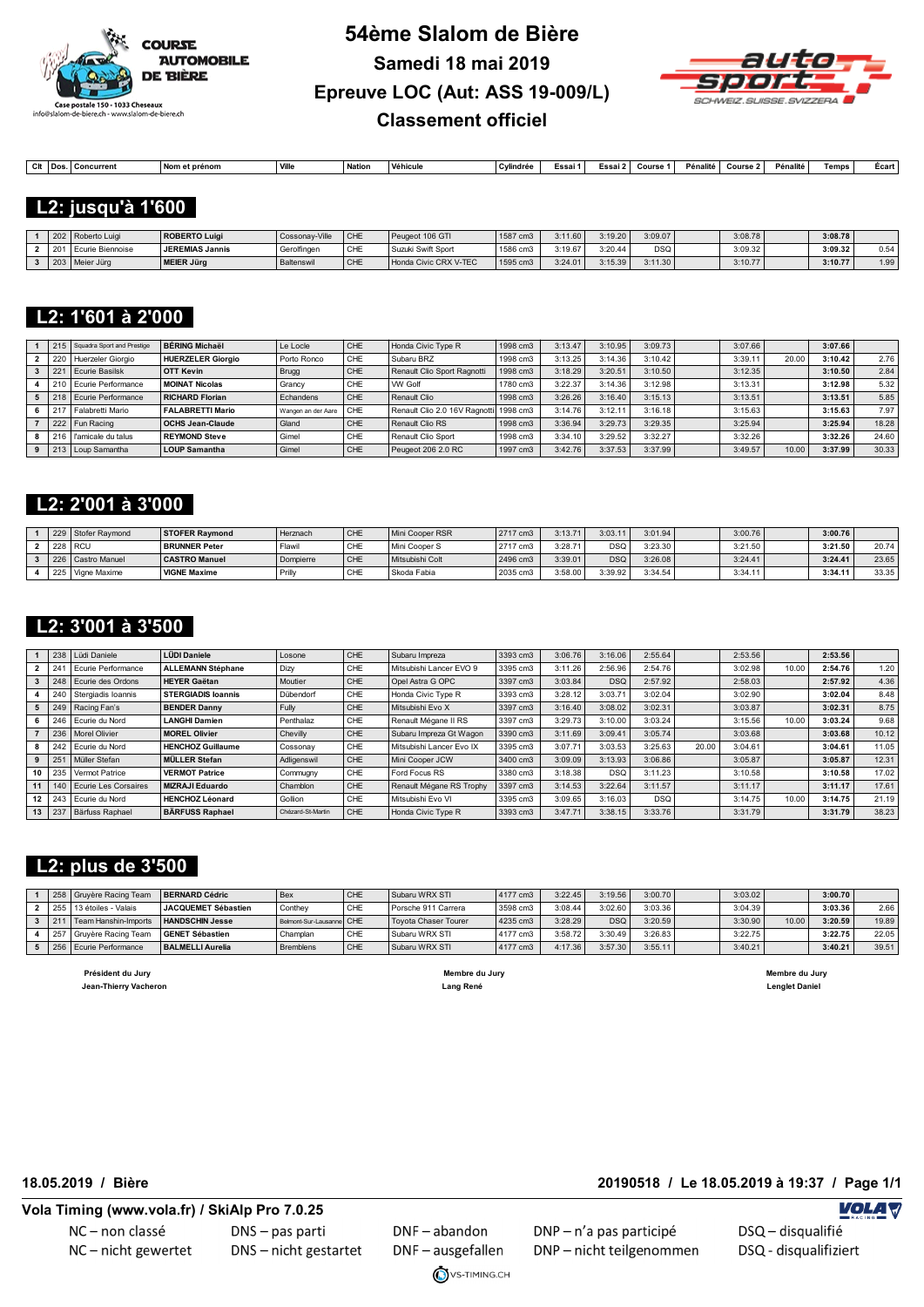



| Clt | l Do | :oncurrent<br>. . | Nom et prénom | <b>Ville</b> | Nation | Véhicule | ` ∿lindrée | $\overline{\phantom{a}}$<br>Essai 1 | Essai ' | Course | Pénalité | Course : | Pénalité | Temps | Ecar |
|-----|------|-------------------|---------------|--------------|--------|----------|------------|-------------------------------------|---------|--------|----------|----------|----------|-------|------|
|     |      |                   |               |              |        |          |            |                                     |         |        |          |          |          |       |      |

 **L2: jusqu'à 1'600** 

|  | 202   Roberto Luigi | ROBERTO Luigi          | Cossonav-Ville | <b>CHE</b> | Peugeot 106 GTI       | 1587 cm3 | :11.60  | 3:19.20 | 3:09.07    | 3:08.78 | 3:08.78 |      |
|--|---------------------|------------------------|----------------|------------|-----------------------|----------|---------|---------|------------|---------|---------|------|
|  | Ecurie Biennoise    | <b>JEREMIAS Jannis</b> | Gerolfingen    | CHE        | Suzuki Swift Sport    | 1586 cm3 | :19.67  | 3:20.44 | <b>DSQ</b> | 3:09.32 | 3:09.32 | 0.54 |
|  | Meier Jürg          | <b>MEIER Jürg</b>      | Baltenswil     | <b>CHE</b> | Honda Civic CRX V-TEC | 1595 cm3 | 3:24.01 | 3:15.39 | 3:11.30    | 3:10.77 | 3:10.77 | 1.99 |

### **L2: 1'601 à 2'000**

|     | 215   Squadra Sport and Prestige | <b>BÉRING Michaël</b>   | Le Locle           | CHE | Honda Civic Type R                      | 1998 cm3 | 3:13.47 | 3:10.95 | 3:09.73 | 3:07.66 |       | 3:07.66 |       |
|-----|----------------------------------|-------------------------|--------------------|-----|-----------------------------------------|----------|---------|---------|---------|---------|-------|---------|-------|
|     | 220 Huerzeler Giorgio            | HUERZELER Gioraio       | Porto Ronco        | CHE | Subaru BRZ                              | 1998 cm3 | 3:13.25 | 3:14.36 | 3:10.42 | 3:39.1' | 20.00 | 3:10.42 | 2.76  |
|     | Ecurie Basilsk                   | <b>OTT Kevin</b>        | Brugg              | CHE | Renault Clio Sport Ragnotti             | 1998 cm3 | 3:18.29 | 3:20.51 | 3:10.50 | 3:12.35 |       | 3:10.50 | 2.84  |
|     | 210 Ecurie Performance           | <b>MOINAT Nicolas</b>   | Grancy             | CHE | <b>VW Golf</b>                          | 1780 cm3 | 3:22.37 | 3:14.36 | 3:12.98 | 3:13.31 |       | 3:12.98 | 5.32  |
|     | 218   Ecurie Performance         | <b>RICHARD Florian</b>  | Echandens          | CHE | Renault Clio                            | 1998 cm3 | 3:26.26 | 3:16.40 | 3:15.13 | 3:13.51 |       | 3:13.51 | 5.85  |
| 217 | Falabretti Mario                 | <b>FALABRETTI Mario</b> | Wangen an der Aare | CHF | Renault Clio 2.0 16V Ragnottil 1998 cm3 |          | 3:14.76 | 3:12.1' | 3:16.18 | 3:15.63 |       | 3:15.63 | 7.97  |
|     | 222   Fun Racing                 | <b>OCHS Jean-Claude</b> | Gland              | CHE | Renault Clio RS                         | 1998 cm3 | 3:36.94 | 3:29.73 | 3:29.35 | 3:25.94 |       | 3:25.94 | 18.28 |
|     | 216   l'amicale du talus         | <b>REYMOND Steve</b>    | Gimel              | CHE | Renault Clio Sport                      | 1998 cm3 | 3:34.10 | 3:29.52 | 3:32.27 | 3:32.26 |       | 3:32.26 | 24.60 |
|     | 213   Loup Samantha              | <b>LOUP Samantha</b>    | Gimel              | CHE | Peugeot 206 2.0 RC                      | 1997 cm3 | 3:42.76 | 3:37.53 | 3:37.99 | 3:49.57 | 10.00 | 3:37.99 | 30.33 |

#### **L2: 2'001 à 3'000**

| 229 | Stofer Raymond      | <b>STOFER Raymond</b> | Herznach  | CHE        | Mini Cooper RSR | 2717 cm3 | 3:13.71 | 3:03.11    | 3:01.94 | 3:00.76 | 3:00.76 |       |
|-----|---------------------|-----------------------|-----------|------------|-----------------|----------|---------|------------|---------|---------|---------|-------|
| 228 | <b>RCU</b>          | <b>BRUNNER Peter</b>  | Flawi     | CHE        | Mini Cooper S   | 2717 cm3 | 3:28.71 | <b>DSQ</b> | 3:23.30 | 3:21.50 | 3:21.50 | 20.74 |
|     | 226   Castro Manuel | <b>CASTRO Manuel</b>  | Dompierre | <b>CHE</b> | Mitsubishi Colt | 2496 cm3 | 3:39.01 | <b>DSQ</b> | 3:26.08 | 3:24.41 | 3:24.41 | 23.65 |
|     | 225   Vigne Maxime  | <b>VIGNE Maxime</b>   | Prill     | CHE        | Skoda Fabia     | 2035 cm3 | 3:58.00 | 3:39.92    | 3:34.54 | 3:34.11 | 3:34.11 | 33.35 |

#### **L2: 3'001 à 3'500**

|    | 238             | Lüdi Daniele             | <b>LÜDI Daniele</b>       | Losone            | CHE | Subaru Impreza           | 3393 cm3 | 3:06.76 | 3:16.06    | 2:55.64    |       | 2:53.56 |       | 2:53.56 |       |
|----|-----------------|--------------------------|---------------------------|-------------------|-----|--------------------------|----------|---------|------------|------------|-------|---------|-------|---------|-------|
|    | 24              | Ecurie Performance       | <b>ALLEMANN Stéphane</b>  | Dizy              | CHE | Mitsubishi Lancer EVO 9  | 3395 cm3 | 3:11.26 | 2:56.96    | 2:54.76    |       | 3:02.98 | 10.00 | 2:54.76 | 1.20  |
|    | 248             | Ecurie des Ordons        | <b>HEYER Gaëtan</b>       | Moutier           | CHE | Opel Astra G OPC         | 3397 cm3 | 3:03.84 | <b>DSQ</b> | 2:57.92    |       | 2:58.03 |       | 2:57.92 | 4.36  |
|    | 240             | Stergiadis Ioannis       | <b>STERGIADIS Ioannis</b> | Dübendorf         | CHE | Honda Civic Type R       | 3393 cm3 | 3:28.12 | 3:03.71    | 3:02.04    |       | 3:02.90 |       | 3:02.04 | 8.48  |
|    | 249             | Racing Fan's             | <b>BENDER Danny</b>       | Fully             | CHE | Mitsubishi Evo X         | 3397 cm3 | 3:16.40 | 3:08.02    | 3:02.31    |       | 3:03.87 |       | 3:02.31 | 8.75  |
|    | 246             | Ecurie du Nord           | <b>LANGHI Damien</b>      | Penthalaz         | CHE | Renault Mégane II RS     | 3397 cm3 | 3:29.73 | 3:10.00    | 3:03.24    |       | 3:15.56 | 10.00 | 3:03.24 | 9.68  |
|    |                 | 236   Morel Olivier      | <b>MOREL Olivier</b>      | Chevilly          | CHE | Subaru Impreza Gt Wagon  | 3390 cm3 | 3:11.69 | 3:09.41    | 3:05.74    |       | 3:03.68 |       | 3:03.68 | 10.12 |
|    | 242             | Ecurie du Nord           | <b>HENCHOZ Guillaume</b>  | Cossonay          | CHE | Mitsubishi Lancer Evo IX | 3395 cm3 | 3:07.71 | 3:03.53    | 3:25.63    | 20.00 | 3:04.61 |       | 3:04.61 | 11.05 |
|    | 25 <sup>′</sup> | Müller Stefan            | <b>MÜLLER Stefan</b>      | Adligenswil       | CHE | Mini Cooper JCW          | 3400 cm3 | 3:09.09 | 3:13.93    | 3:06.86    |       | 3:05.87 |       | 3:05.87 | 12.31 |
| 10 | 235             | Vermot Patrice           | <b>VERMOT Patrice</b>     | Commugny          | CHE | Ford Focus RS            | 3380 cm3 | 3:18.38 | <b>DSQ</b> | 3:11.23    |       | 3:10.58 |       | 3:10.58 | 17.02 |
|    |                 | 140 Ecurie Les Corsaires | <b>MIZRAJI Eduardo</b>    | Chamblon          | CHE | Renault Mégane RS Trophy | 3397 cm3 | 3:14.53 | 3:22.64    | 3:11.57    |       | 3:11.17 |       | 3:11.17 | 17.61 |
| 12 |                 | 243 Ecurie du Nord       | <b>HENCHOZ Léonard</b>    | Gollion           | CHE | Mitsubishi Evo VI        | 3395 cm3 | 3:09.65 | 3:16.03    | <b>DSQ</b> |       | 3:14.75 | 10.00 | 3:14.75 | 21.19 |
| 13 | 237             | Bärfuss Raphael          | <b>BÄRFUSS Raphael</b>    | Chézard-St-Martin | CHE | Honda Civic Type R       | 3393 cm3 | 3:47.71 | 3:38.15    | 3:33.76    |       | 3:31.79 |       | 3:31.79 | 38.23 |

#### **L2: plus de 3'500**

| 258 | l Gruvère Racing Team     | <b>BERNARD Cédric</b>   | Bex                      | CHE | Subaru WRX STI              | 4177 cm3 | 3:22.45 | 3:19.56    | 3:00.70 | 3:03.02 |       | 3:00.70 |       |
|-----|---------------------------|-------------------------|--------------------------|-----|-----------------------------|----------|---------|------------|---------|---------|-------|---------|-------|
|     | 255   13 étoiles - Valais | JACQUEMET Sébastien     | Conthey                  | CHE | Porsche 911 Carrera         | 3598 cm3 | 3:08.44 | 3:02.60    | 3:03.36 | 3:04.39 |       | 3:03.36 | 2.66  |
|     | Fream Hanshin-Imports     | <b>HANDSCHIN Jesse</b>  | Belmont-Sur-Lausanne CHE |     | <b>Tovota Chaser Tourer</b> | 4235 cm3 | 3:28.29 | <b>DSC</b> | 3:20.59 | 3:30.90 | 10.00 | 3:20.59 | 19.89 |
| 257 | ' I Gruvère Racing Team   | <b>GENET Sébastien</b>  | Champlan                 | CHE | Subaru WRX STI              | 4177 cm3 | 3:58.72 | 3:30.49    | 3:26.83 | 3:22.75 |       | 3:22.75 | 22.05 |
|     | 256 Ecurie Performance    | <b>BALMELLI Aurelia</b> | <b>Bremblens</b>         | CHE | Subaru WRX STI              | 4177 cm3 | 4:17.36 | 3:57.30    | 3:55.11 | 3:40.21 |       | 3:40.21 | 39.51 |

 **Président du Jury Membre du Jury Membre du Jury Jean-Thierry Vacheron Lang René Lenglet Daniel** 

**Vola Timing (www.vola.fr) / SkiAlp Pro 7.0.25**

NC-non classé NC-nicht gewertet DNS-pas parti DNS - nicht gestartet

DNF-abandon DNF-ausgefallen

VS-TIMING.CH

DNP - n'a pas participé

DNP-nicht teilgenommen

**18.05.2019 / Bière 20190518 / Le 18.05.2019 à 19:37 / Page 1/1**

DSQ - disqualifié **VolaSoftControlPdf**

**VOLA V**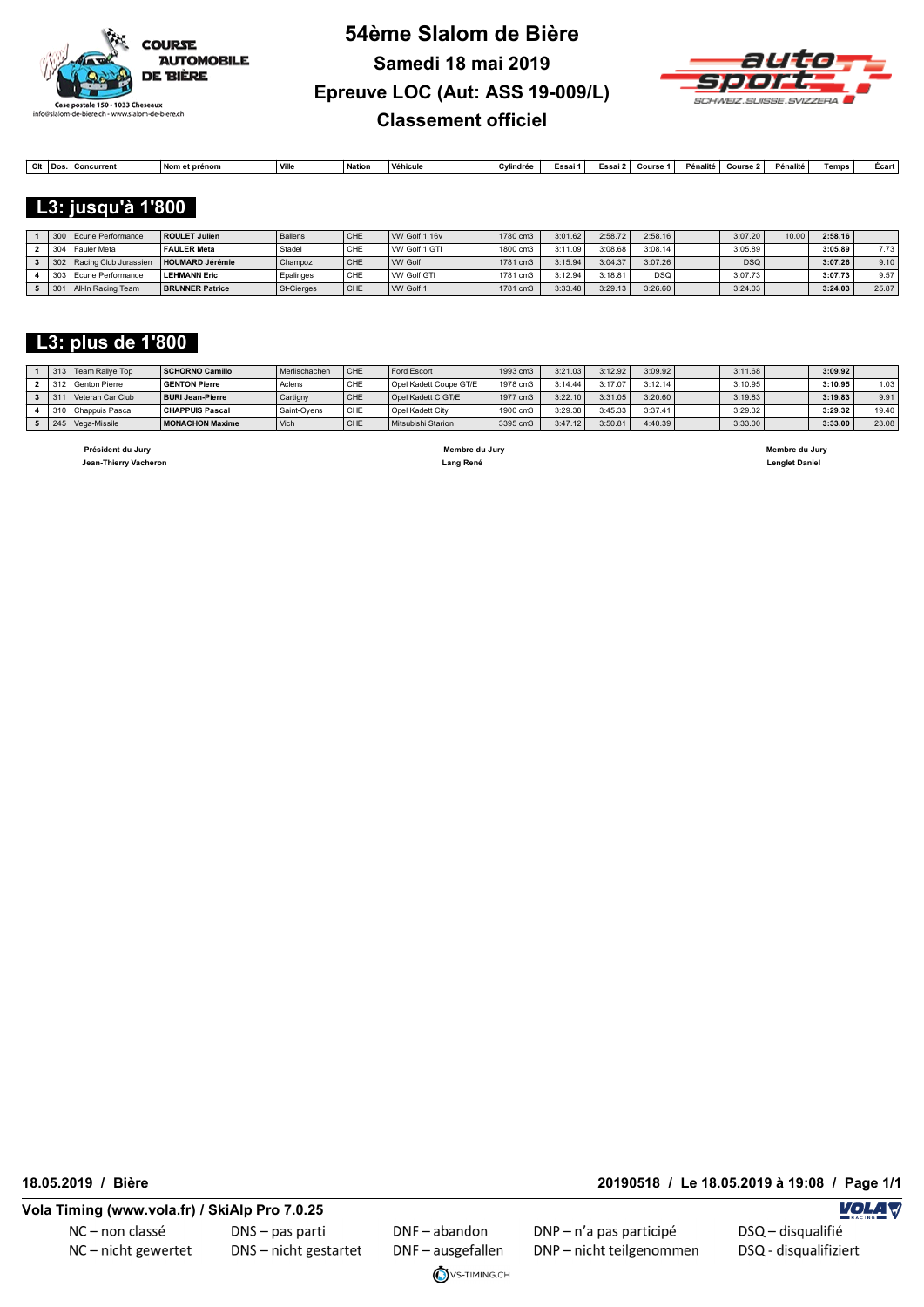



| $^{\sim}$<br>cπ | $\overline{\phantom{a}}$ | oncurrent | . Nor<br>et prénom | Ville | Nation | Véhicule | Cvlindrée | Essai ' | Essai. | Course | Pénalité | Cours | Pénalité | Temps | Ecar |
|-----------------|--------------------------|-----------|--------------------|-------|--------|----------|-----------|---------|--------|--------|----------|-------|----------|-------|------|
|                 |                          |           |                    |       |        |          |           |         |        |        |          |       |          |       |      |

#### **L3: jusqu'à 1'800**

|  | 300 Ecurie Performance    | ROULET Julien          | Ballens    | CHE              | WV Golf 1 16v      | 1780 cm3 | 3:01.62 | 2:58.72 | 2:58.16    | 3:07.20    | 10.00 | 2:58.16 |       |
|--|---------------------------|------------------------|------------|------------------|--------------------|----------|---------|---------|------------|------------|-------|---------|-------|
|  | 304   Fauler Meta         | <b>FAULER Meta</b>     | Stadel     | <sup>'</sup> CHE | WV Golf 1 GTI      | 1800 cm3 | 3:11.09 | 3:08.68 | 3:08.14    | 3:05.89    |       | 3:05.89 | 7.73  |
|  | 302 Racing Club Jurassien | <b>HOUMARD Jérémie</b> | Champoz    | CHE              | <b>WW</b> Golf     | 1781 cm3 | 3:15.94 | 3:04.37 | 3:07.26    | <b>DSQ</b> |       | 3:07.26 | 9.10  |
|  | 1303 Ecurie Performance   | <b>LEHMANN Eric</b>    | Epalinges  | CHE              | <b>VW Golf GTI</b> | 1781 cm3 | 3:12.94 | 3:18.81 | <b>DSQ</b> | 3:07.73    |       | 3:07.73 | 9.57  |
|  | All-In Racing Team        | <b>BRUNNER Patrice</b> | St-Cierges | CHE              | WW Golf 1          | 1781 cm3 | 3:33.48 | 3:29.13 | 3:26.60    | 3:24.03    |       | 3:24.03 | 25.87 |

#### **L3: plus de 1'800**

|  | 313 Team Rallye Top | SCHORNO Camillo         | Merlischachen | CHF        | <b>Ford Escort</b>     | 1993 cm3 | 3:21.03 | 3:12.92 | 3:09.92 | 3:11.68 | 3:09.92 |       |
|--|---------------------|-------------------------|---------------|------------|------------------------|----------|---------|---------|---------|---------|---------|-------|
|  | 312 Genton Pierre   | <b>GENTON Pierre</b>    | Aclens        | CHE        | Opel Kadett Coupe GT/E | 1978 cm3 | 3:14.44 | 3:17.07 | 3:12.14 | 3:10.95 | 3:10.95 | 1.03  |
|  | Veteran Car Club    | <b>BURI Jean-Pierre</b> | Cartigny      | <b>CHE</b> | Opel Kadett C GT/E     | 1977 cm3 | 3:22.10 | 3:31.05 | 3:20.60 | 3:19.83 | 3:19.83 | 9.91  |
|  | 310 Chappuis Pascal | <b>CHAPPUIS Pascal</b>  | Saint-Oyens   | CHE        | Opel Kadett City       | 1900 cm3 | 3:29.38 | 3:45.33 | 3:37.41 | 3:29.32 | 3:29.32 | 19.40 |
|  | 245 Vega-Missile    | MONACHON Maxime         | Vich          | <b>CHE</b> | Mitsubishi Starion     | 3395 cm3 | 3:47.12 | 3:50.81 | 4:40.39 | 3:33.00 | 3:33.00 | 23.08 |

 **Président du Jury Membre du Jury Membre du Jury Jean-Thierry Vacheron Lang René Lenglet Daniel** 

**18.05.2019 / Bière 20190518 / Le 18.05.2019 à 19:08 / Page 1/1**

NC-non classé NC-nicht gewertet DNS-pas parti DNS - nicht gestartet

DNF-abandon DNF-ausgefallen VS-TIMING.CH

DNP - n'a pas participé DNP-nicht teilgenommen

**VOLA V** DSQ - disqualifié

**VolaSoftControlPdf**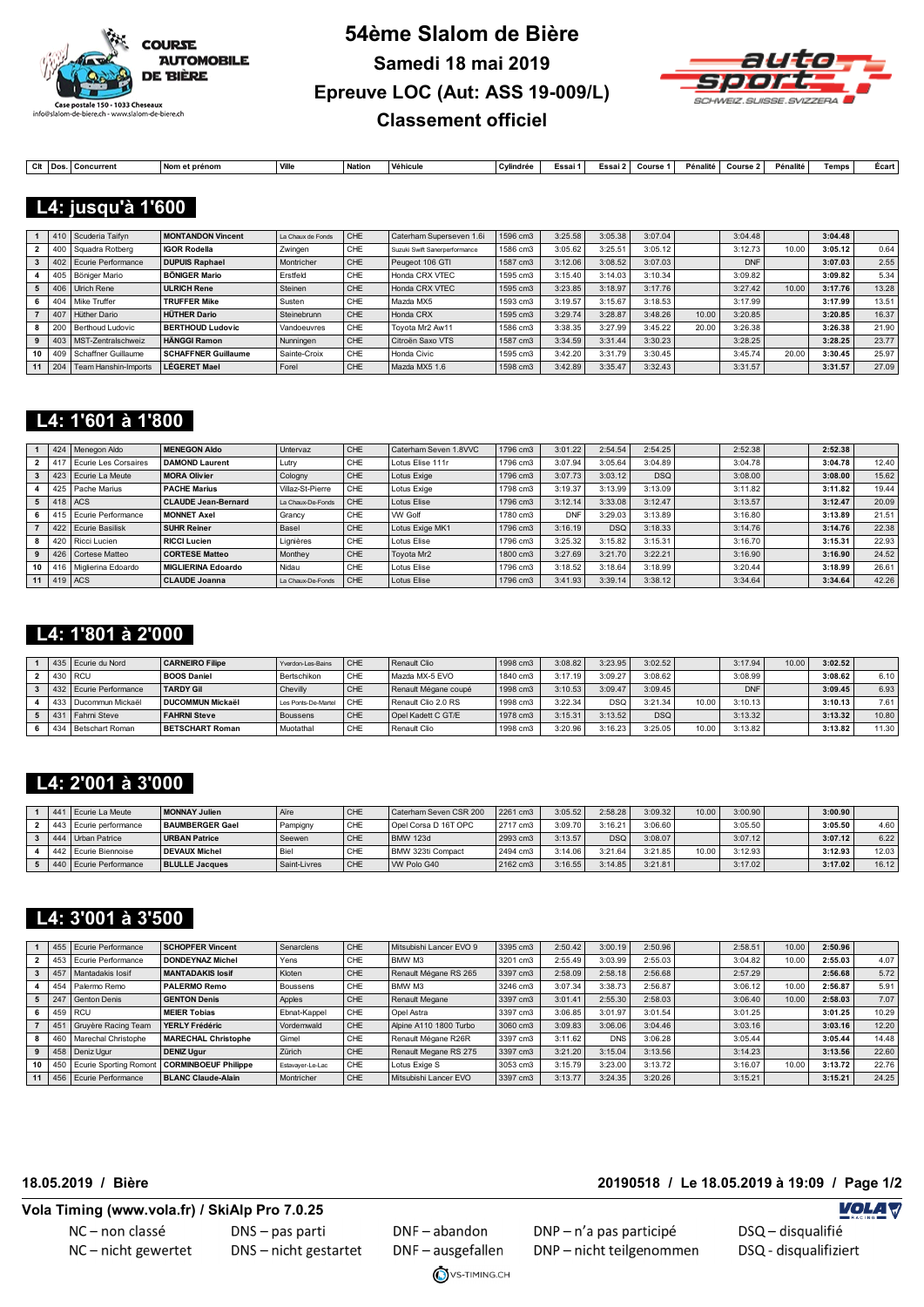



**Colt Dos.** Concurrent Nom et prénom Ville Nation Véhicule Cylindrée Essai 1 Essai 2 Course 1 Pénalité Course 2 Pénalité Temps Écart

#### **L4: jusqu'à 1'600**

|    |     | 410 Scuderia Taifyn  | <b>MONTANDON Vincent</b>   | La Chaux de Fonds | CHE | Caterham Superseven 1.6i      | 1596 cm3 | 3:25.58 | 3:05.38 | 3:07.04 |       | 3:04.48    |       | 3:04.48 |       |
|----|-----|----------------------|----------------------------|-------------------|-----|-------------------------------|----------|---------|---------|---------|-------|------------|-------|---------|-------|
|    |     | Squadra Rotberg      | <b>IGOR Rodella</b>        | Zwingen           | CHE | Suzuki Swift Sanerperformance | 1586 cm3 | 3:05.62 | 3:25.51 | 3:05.12 |       | 3:12.73    | 10.00 | 3:05.12 | 0.64  |
|    |     | Ecurie Performance   | <b>DUPUIS Raphael</b>      | Montricher        | CHE | Peugeot 106 GTI               | 1587 cm3 | 3:12.06 | 3:08.52 | 3:07.03 |       | <b>DNF</b> |       | 3:07.03 | 2.55  |
|    |     | Böniger Mario        | <b>BÖNIGER Mario</b>       | Erstfeld          | CHE | Honda CRX VTEC                | 1595 cm3 | 3:15.40 | 3:14.03 | 3:10.34 |       | 3:09.82    |       | 3:09.82 | 5.34  |
|    | 406 | Ulrich Rene          | <b>ULRICH Rene</b>         | Steinen           | CHE | Honda CRX VTEC                | 1595 cm3 | 3:23.85 | 3:18.97 | 3:17.76 |       | 3:27.42    | 10.00 | 3:17.76 | 13.28 |
|    |     | 404 Mike Truffer     | <b>TRUFFER Mike</b>        | Susten            | CHE | Mazda MX5                     | 1593 cm3 | 3:19.57 | 3:15.67 | 3:18.53 |       | 3:17.99    |       | 3:17.99 | 13.51 |
|    | 407 | Hüther Dario         | <b>HÜTHER Dario</b>        | Steinebrunn       | CHE | Honda CRX                     | 1595 cm3 | 3:29.74 | 3:28.87 | 3:48.26 | 10.00 | 3:20.85    |       | 3:20.85 | 16.37 |
|    | 200 | Berthoud Ludovic     | <b>BERTHOUD Ludovic</b>    | Vandoeuvres       | CHE | Tovota Mr2 Aw11               | 1586 cm3 | 3:38.35 | 3:27.99 | 3:45.22 | 20.00 | 3:26.38    |       | 3:26.38 | 21.90 |
|    |     | MST-Zentralschweiz   | <b>HÄNGGI Ramon</b>        | Nunningen         | CHE | Citroën Saxo VTS              | 1587 cm3 | 3:34.59 | 3:31.44 | 3:30.23 |       | 3:28.25    |       | 3:28.25 | 23.77 |
| 10 |     | Schaffner Guillaume  | <b>SCHAFFNER Guillaume</b> | Sainte-Croix      | CHF | Honda Civic                   | 1595 cm3 | 3:42.20 | 3:31.79 | 3:30.45 |       | 3:45.74    | 20.00 | 3:30.45 | 25.97 |
| 11 | 204 | Team Hanshin-Imports | <b>LÉGERET Mael</b>        | Forel             | CHE | Mazda MX5 1.6                 | 1598 cm3 | 3:42.89 | 3:35.47 | 3:32.43 |       | 3:31.57    |       | 3:31.57 | 27.09 |

#### **L4: 1'601 à 1'800**

|    |                       | 424 Menegon Aldo         | <b>MENEGON Aldo</b>        | Untervaz          | CHE | Caterham Seven 1.8VVC | 1796 cm3 | 3:01.22    | 2:54.54    | 2:54.25    | 2:52.38 | 2:52.38 |       |
|----|-----------------------|--------------------------|----------------------------|-------------------|-----|-----------------------|----------|------------|------------|------------|---------|---------|-------|
|    | 1417                  | Ecurie Les Corsaires     | <b>DAMOND Laurent</b>      | Lutrv             | CHE | Lotus Elise 111r      | 1796 cm3 | 3:07.94    | 3:05.64    | 3:04.89    | 3:04.78 | 3:04.78 | 12.40 |
|    |                       | 423 Ecurie La Meute      | <b>MORA Olivier</b>        | Cologny           | CHE | Lotus Exige           | 1796 cm3 | 3:07.73    | 3:03.12    | <b>DSQ</b> | 3:08.00 | 3:08.00 | 15.62 |
|    |                       | 425 Pache Marius         | <b>PACHE Marius</b>        | Villaz-St-Pierre  | CHE | Lotus Exige           | 1798 cm3 | 3:19.37    | 3:13.99    | 3:13.09    | 3:11.82 | 3:11.82 | 19.44 |
|    | $5 \mid 418 \mid ACS$ |                          | <b>CLAUDE Jean-Bernard</b> | La Chaux-De-Fonds | CHF | <b>Lotus Elise</b>    | 1796 cm3 | 3:12.14    | 3:33.08    | 3:12.47    | 3:13.57 | 3:12.47 | 20.09 |
|    |                       | 415 Ecurie Performance   | <b>MONNET Axel</b>         | Grancy            | CHE | <b>VW Golf</b>        | 1780 cm3 | <b>DNF</b> | 3:29.03    | 3:13.89    | 3:16.80 | 3:13.89 | 21.51 |
|    |                       | 422 Ecurie Basilisk      | <b>SUHR Reiner</b>         | Basel             | CHE | Lotus Exige MK1       | 1796 cm3 | 3:16.19    | <b>DSQ</b> | 3:18.33    | 3:14.76 | 3:14.76 | 22.38 |
|    |                       | 420   Ricci Lucien       | <b>RICCI Lucien</b>        | Lignières         | CHE | Lotus Elise           | 1796 cm3 | 3:25.32    | 3:15.82    | 3:15.31    | 3:16.70 | 3:15.31 | 22.93 |
|    |                       | 426   Cortese Matteo     | <b>CORTESE Matteo</b>      | Monthey           | CHE | Toyota Mr2            | 1800 cm3 | 3:27.69    | 3:21.70    | 3:22.21    | 3:16.90 | 3:16.90 | 24.52 |
| 10 |                       | 416   Miglierina Edoardo | <b>MIGLIERINA Edoardo</b>  | Nidau             | CHE | Lotus Elise           | 1796 cm3 | 3:18.52    | 3:18.64    | 3:18.99    | 3:20.44 | 3:18.99 | 26.61 |
|    | 11   419 $ACS$        |                          | <b>CLAUDE Joanna</b>       | La Chaux-De-Fonds | CHE | <b>Lotus Elise</b>    | 1796 cm3 | 3:41.93    | 3:39.14    | 3:38.12    | 3:34.64 | 3:34.64 | 42.26 |

#### **L4: 1'801 à 2'000**

|     | 435 Ecurie du Nord     | <b>CARNEIRO Filipe</b>  | Yverdon-Les-Bains   | CHF | Renault Clio         | 1998 cm3 | 3:08.82 | 3:23.95    | 3:02.52    |       | 3:17.94    | 10.00 | 3:02.52 |       |
|-----|------------------------|-------------------------|---------------------|-----|----------------------|----------|---------|------------|------------|-------|------------|-------|---------|-------|
|     | 430 RCU                | <b>BOOS Daniel</b>      | Bertschikon         | CHE | Mazda MX-5 EVO       | 1840 cm3 | 3:17.19 | 3:09.27    | 3:08.62    |       | 3:08.99    |       | 3:08.62 | 6.10  |
|     | 432 Ecurie Performance | <b>TARDY Gil</b>        | Chevilly            | CHE | Renault Mégane coupé | 1998 cm3 | 3:10.53 | 3:09.47    | 3:09.45    |       | <b>DNF</b> |       | 3:09.45 | 6.93  |
|     | Ducommun Mickaël       | <b>DUCOMMUN Mickaël</b> | Les Ponts-De-Martel | CHE | Renault Clio 2.0 RS  | 1998 cm3 | 3:22.34 | <b>DSC</b> | 3:21.34    | 10.00 | 3:10.13    |       | 3:10.13 | 7.61  |
|     | Fahrni Steve           | <b>FAHRNI Steve</b>     | <b>Boussens</b>     | CHE | Opel Kadett C GT/E   | 1978 cm3 | 3:15.31 | 3:13.52    | <b>DSQ</b> |       | 3:13.32    |       | 3:13.32 | 10.80 |
| 434 | Betschart Roman        | <b>BETSCHART Roman</b>  | Muotathal           | CHE | Renault Clio         | 1998 cm3 | 3:20.96 | 3:16.23    | 3:25.05    | 10.00 | 3:13.82    |       | 3:13.82 | 11.30 |

#### **L4: 2'001 à 3'000**

|  | Ecurie La Meute            | MONNAY Julien          | Aïre         | CHE        | Caterham Seven CSR 200 | 2261 cm3 | 3:05.52     | 2:58.28    | 3:09.32 | 10.00 | 3:00.90 | 3:00.90 |        |
|--|----------------------------|------------------------|--------------|------------|------------------------|----------|-------------|------------|---------|-------|---------|---------|--------|
|  | . 443   Ecurie performance | <b>BAUMBERGER Gael</b> | Pampigny     | CHE        | Opel Corsa D 16T OPC   | 2717 cm3 | 3:09.70     | 3:16.21    | 3:06.60 |       | 3:05.50 | 3:05.50 | 4.60   |
|  | I Urban Patrice            | <b>URBAN Patrice</b>   | Seewen       | CHE        | <b>BMW 123d</b>        | 2993 cm3 | $3:13.57$ . | <b>DSC</b> | 3:08.07 |       | 3:07.12 | 3:07.12 | 6.22   |
|  | 2 Ecurie Biennoise         | <b>DEVAUX Michel</b>   | Biel         | <b>CHE</b> | BMW 323ti Compact      | 2494 cm3 | 3:14.06     | 3:21.64    | 3:21.85 | 10.00 | 3:12.93 | 3:12.93 | 12.03  |
|  | 440 Ecurie Performance     | <b>BLULLE Jacques</b>  | Saint-Livres | <b>CHE</b> | WV Polo G40            | 2162 cm3 | 3:16.55     | 3:14.85    | 3:21.81 |       | 3:17.02 | 3:17.02 | 16.121 |

#### **L4: 3'001 à 3'500**

|                 |                 | Ecurie Performance     | <b>SCHOPFER Vincent</b>     | Senarclens       | CHE | Mitsubishi Lancer EVO 9 | 3395 cm3 | 2:50.42 | 3:00.19    | 2:50.96 | 2:58.51 | 10.00 | 2:50.96 |       |
|-----------------|-----------------|------------------------|-----------------------------|------------------|-----|-------------------------|----------|---------|------------|---------|---------|-------|---------|-------|
|                 | 453             | Ecurie Performance     | <b>DONDEYNAZ Michel</b>     | Yens             | CHE | BMW M3                  | 3201 cm3 | 2:55.49 | 3:03.99    | 2:55.03 | 3:04.82 | 10.00 | 2:55.03 | 4.07  |
|                 | 457             | Mantadakis losif       | <b>MANTADAKIS losif</b>     | Kloten           | CHE | Renault Mégane RS 265   | 3397 cm3 | 2:58.09 | 2:58.18    | 2:56.68 | 2:57.29 |       | 2:56.68 | 5.72  |
|                 | 454             | Palermo Remo           | <b>PALERMO Remo</b>         | Boussens         | CHE | BMW M3                  | 3246 cm3 | 3:07.34 | 3:38.73    | 2:56.87 | 3:06.12 | 10.00 | 2:56.87 | 5.91  |
|                 | 247             | Genton Denis           | <b>GENTON Denis</b>         | Apples           | CHE | Renault Megane          | 3397 cm3 | 3:01.41 | 2:55.30    | 2:58.03 | 3:06.40 | 10.00 | 2:58.03 | 7.07  |
|                 |                 | 459 RCU                | <b>MEIER Tobias</b>         | Ebnat-Kappel     | CHE | Opel Astra              | 3397 cm3 | 3:06.85 | 3:01.97    | 3:01.54 | 3:01.25 |       | 3:01.25 | 10.29 |
|                 | 45 <sup>′</sup> | Gruyère Racing Team    | YERLY Frédéric              | Vordemwald       | CHE | Alpine A110 1800 Turbo  | 3060 cm3 | 3:09.83 | 3:06.06    | 3:04.46 | 3:03.16 |       | 3:03.16 | 12.20 |
|                 | 460             | Marechal Christophe    | <b>MARECHAL Christophe</b>  | Gimel            | CHE | Renault Mégane R26R     | 3397 cm3 | 3:11.62 | <b>DNS</b> | 3:06.28 | 3:05.44 |       | 3:05.44 | 14.48 |
|                 |                 | 458 Deniz Ugur         | <b>DENIZ Ugur</b>           | Zürich           | CHE | Renault Megane RS 275   | 3397 cm3 | 3:21.20 | 3:15.04    | 3:13.56 | 3:14.23 |       | 3:13.56 | 22.60 |
| 10 <sub>1</sub> | 450             | Ecurie Sporting Romont | <b>CORMINBOEUF Philippe</b> | Estavaver-Le-Lac | CHE | Lotus Exige S           | 3053 cm3 | 3:15.79 | 3:23.00    | 3:13.72 | 3:16.07 | 10.00 | 3:13.72 | 22.76 |
| 11 <sup>1</sup> | 456             | Ecurie Performance     | <b>BLANC Claude-Alain</b>   | Montricher       | CHE | Mitsubishi Lancer EVO   | 3397 cm3 | 3:13.77 | 3:24.35    | 3:20.26 | 3:15.21 |       | 3:15.21 | 24.25 |

**18.05.2019 / Bière 20190518 / Le 18.05.2019 à 19:09 / Page 1/2**

#### **Vola Timing (www.vola.fr) / SkiAlp Pro 7.0.25**

NC-non classé NC-nicht gewertet DNS - pas parti DNS - nicht gestartet

DNF-abandon DNF-ausgefallen VS-TIMING.CH DNP - n'a pas participé DNP-nicht teilgenommen

**VOLA V**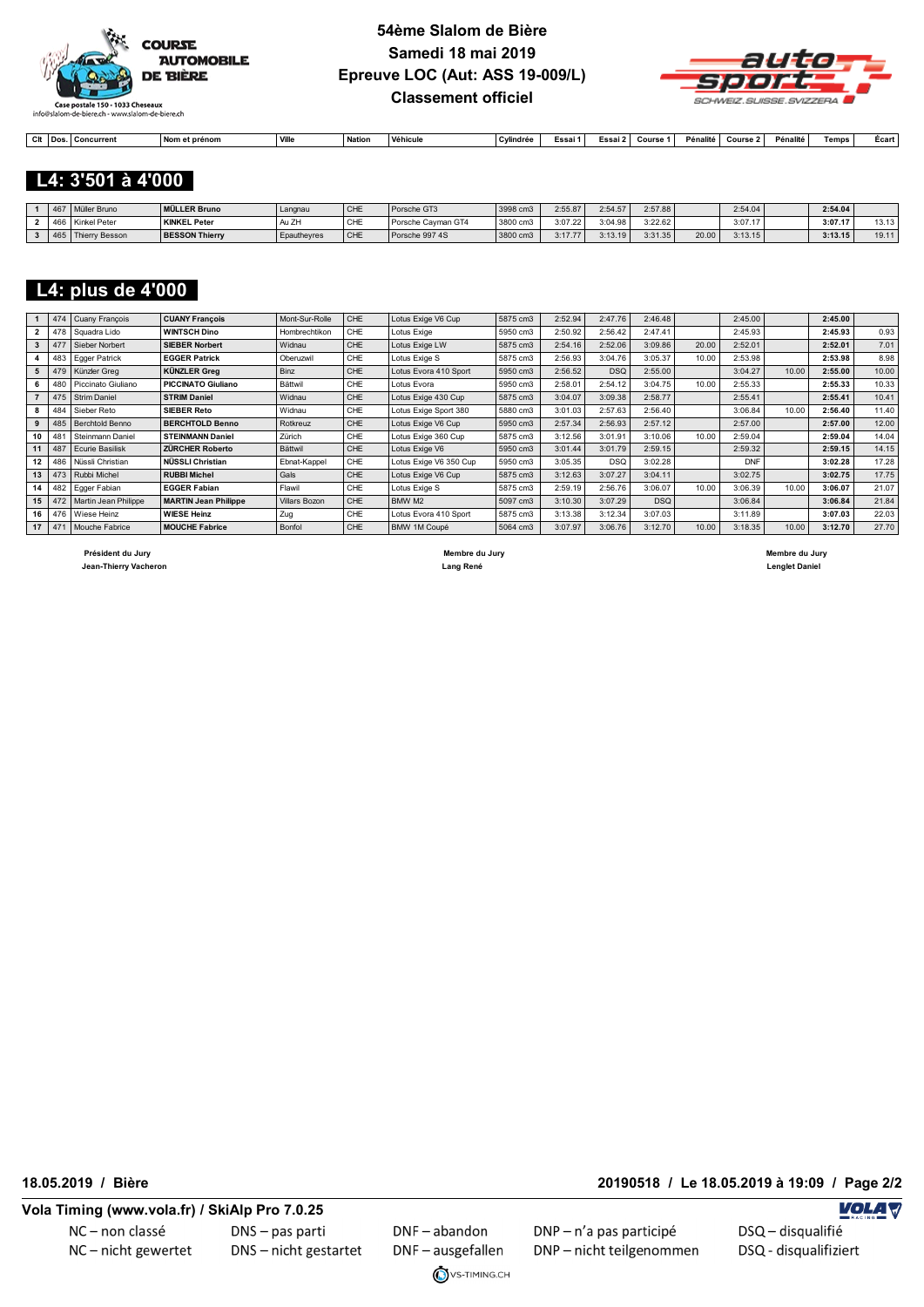



| $\sim$<br>Ψκ | <b>IDos</b> | ີ≏ncurrent<br>. conn | Nom e<br>∿t prénom | <sup>1</sup> Ville | <b>Nation</b> | Véhicule | . ^vlindráe∩<br>ww | ∠ssai ?⊹ | Course | Pénalité | Course | Pénalité | Temps | Ecart |
|--------------|-------------|----------------------|--------------------|--------------------|---------------|----------|--------------------|----------|--------|----------|--------|----------|-------|-------|

#### **L4: 3'501 à 4'000**

|     | 467   Müller Bruno | <b>MÜLLER Bruno</b>   | Langnau                 | CHE | Porsche GT3        | $13998$ cm3 | 2:55.87 | 2:54.57 | 2:57.88 |       | 2:54.04 | 2:54.04 |       |
|-----|--------------------|-----------------------|-------------------------|-----|--------------------|-------------|---------|---------|---------|-------|---------|---------|-------|
| 466 | Kinkel Peter       | <b>KINKEL Peter</b>   | 7 <sub>k</sub><br>Au ZH | CHE | Porsche Cavman GT4 | 3800 cm3    | 3:07.22 | 3:04.98 | 3:22.62 |       | 3:07.17 | 3:07.17 | 13.13 |
| 465 | Thierry Besson     | <b>BESSON Thierry</b> | <b>Epauthevres</b>      | CHE | Porsche 997 4S     | 3800 cm3    | 3:17.77 | 3:13.19 | 3:31.35 | 20.00 | 3:13.15 | 3:13.15 | 19.11 |

#### **L4: plus de 4'000**

|    | 474      | Cuany François          | <b>CUANY François</b>       | Mont-Sur-Rolle       | CHE        | Lotus Exige V6 Cup     | 5875 cm3 | 2:52.94 | 2:47.76    | 2:46.48    |       | 2:45.00    |       | 2:45.00 |       |
|----|----------|-------------------------|-----------------------------|----------------------|------------|------------------------|----------|---------|------------|------------|-------|------------|-------|---------|-------|
| 2  | 478      | Squadra Lido            | <b>WINTSCH Dino</b>         | Hombrechtikon        | CHE        | Lotus Exige            | 5950 cm3 | 2:50.92 | 2:56.42    | 2:47.41    |       | 2:45.93    |       | 2:45.93 | 0.93  |
| 3  | 477      | Sieber Norbert          | <b>SIEBER Norbert</b>       | Widnau               | <b>CHE</b> | Lotus Exige LW         | 5875 cm3 | 2:54.16 | 2:52.06    | 3:09.86    | 20.00 | 2:52.01    |       | 2:52.01 | 7.01  |
|    | 483      | Egger Patrick           | <b>EGGER Patrick</b>        | Oberuzwil            | CHE        | Lotus Exige S          | 5875 cm3 | 2:56.93 | 3:04.76    | 3:05.37    | 10.00 | 2:53.98    |       | 2:53.98 | 8.98  |
| 5  | 479      | Künzler Grea            | <b>KÜNZLER Grea</b>         | <b>Binz</b>          | CHE        | Lotus Evora 410 Sport  | 5950 cm3 | 2:56.52 | <b>DSQ</b> | 2:55.00    |       | 3:04.27    | 10.00 | 2:55.00 | 10.00 |
|    | 480      | Piccinato Giuliano      | <b>PICCINATO Giuliano</b>   | Bättwil              | CHE        | Lotus Evora            | 5950 cm3 | 2:58.01 | 2:54.12    | 3:04.75    | 10.00 | 2:55.33    |       | 2:55.33 | 10.33 |
|    | 475      | <b>Strim Daniel</b>     | <b>STRIM Daniel</b>         | Widnau               | <b>CHE</b> | Lotus Exige 430 Cup    | 5875 cm3 | 3:04.07 | 3:09.38    | 2:58.77    |       | 2:55.41    |       | 2:55.41 | 10.41 |
| 8  | 484      | Sieber Reto             | <b>SIEBER Reto</b>          | Widnau               | CHE        | Lotus Exige Sport 380  | 5880 cm3 | 3:01.03 | 2:57.63    | 2:56.40    |       | 3:06.84    | 10.00 | 2:56.40 | 11.40 |
| 9  | 485      | <b>Berchtold Benno</b>  | <b>BERCHTOLD Benno</b>      | Rotkreuz             | <b>CHE</b> | Lotus Exige V6 Cup     | 5950 cm3 | 2:57.34 | 2:56.93    | 2:57.12    |       | 2:57.00    |       | 2:57.00 | 12.00 |
| 10 | 481      | <b>Steinmann Daniel</b> | <b>STEINMANN Daniel</b>     | Zürich               | CHE        | Lotus Exige 360 Cup    | 5875 cm3 | 3:12.56 | 3:01.91    | 3:10.06    | 10.00 | 2:59.04    |       | 2:59.04 | 14.04 |
| 11 | 487      | Ecurie Basilisk         | <b>ZÜRCHER Roberto</b>      | Bättwil              | <b>CHE</b> | Lotus Exige V6         | 5950 cm3 | 3:01.44 | 3:01.79    | 2:59.15    |       | 2:59.32    |       | 2:59.15 | 14.15 |
| 12 | 486      | Nüssli Christian        | NÜSSLI Christian            | Ebnat-Kappel         | CHE        | Lotus Exige V6 350 Cup | 5950 cm3 | 3:05.35 | <b>DSQ</b> | 3:02.28    |       | <b>DNF</b> |       | 3:02.28 | 17.28 |
| 13 | 473      | Rubbi Michel            | <b>RUBBI Michel</b>         | Gals                 | <b>CHE</b> | Lotus Exige V6 Cup     | 5875 cm3 | 3:12.63 | 3:07.27    | 3:04.11    |       | 3:02.75    |       | 3:02.75 | 17.75 |
| 14 | 482      | Egger Fabian            | <b>EGGER Fabian</b>         | Flawil               | CHE        | Lotus Exige S          | 5875 cm3 | 2:59.19 | 2:56.76    | 3:06.07    | 10.00 | 3:06.39    | 10.00 | 3:06.07 | 21.07 |
| 15 | 472      | Martin Jean Philippe    | <b>MARTIN Jean Philippe</b> | <b>Villars Bozon</b> | <b>CHE</b> | BMW M2                 | 5097 cm3 | 3:10.30 | 3:07.29    | <b>DSQ</b> |       | 3:06.84    |       | 3:06.84 | 21.84 |
|    |          | 16 476 Wiese Heinz      | <b>WIESE Heinz</b>          | Zug                  | CHE        | Lotus Evora 410 Sport  | 5875 cm3 | 3:13.38 | 3:12.34    | 3:07.03    |       | 3:11.89    |       | 3:07.03 | 22.03 |
|    | 17   471 | Mouche Fabrice          | <b>MOUCHE Fabrice</b>       | Bonfol               | CHE        | BMW 1M Coupé           | 5064 cm3 | 3:07.97 | 3:06.76    | 3:12.70    | 10.00 | 3:18.35    | 10.00 | 3:12.70 | 27.70 |
|    |          |                         |                             |                      |            |                        |          |         |            |            |       |            |       |         |       |

 **Président du Jury Membre du Jury Membre du Jury**

 **Jean-Thierry Vacheron Lang René Lenglet Daniel** 

**18.05.2019 / Bière 20190518 / Le 18.05.2019 à 19:09 / Page 2/2**

NC-non classé NC-nicht gewertet DNS - pas parti DNS - nicht gestartet

DNF-abandon DNF-ausgefallen VS-TIMING.CH DNP - n'a pas participé DNP-nicht teilgenommen **VOLA V**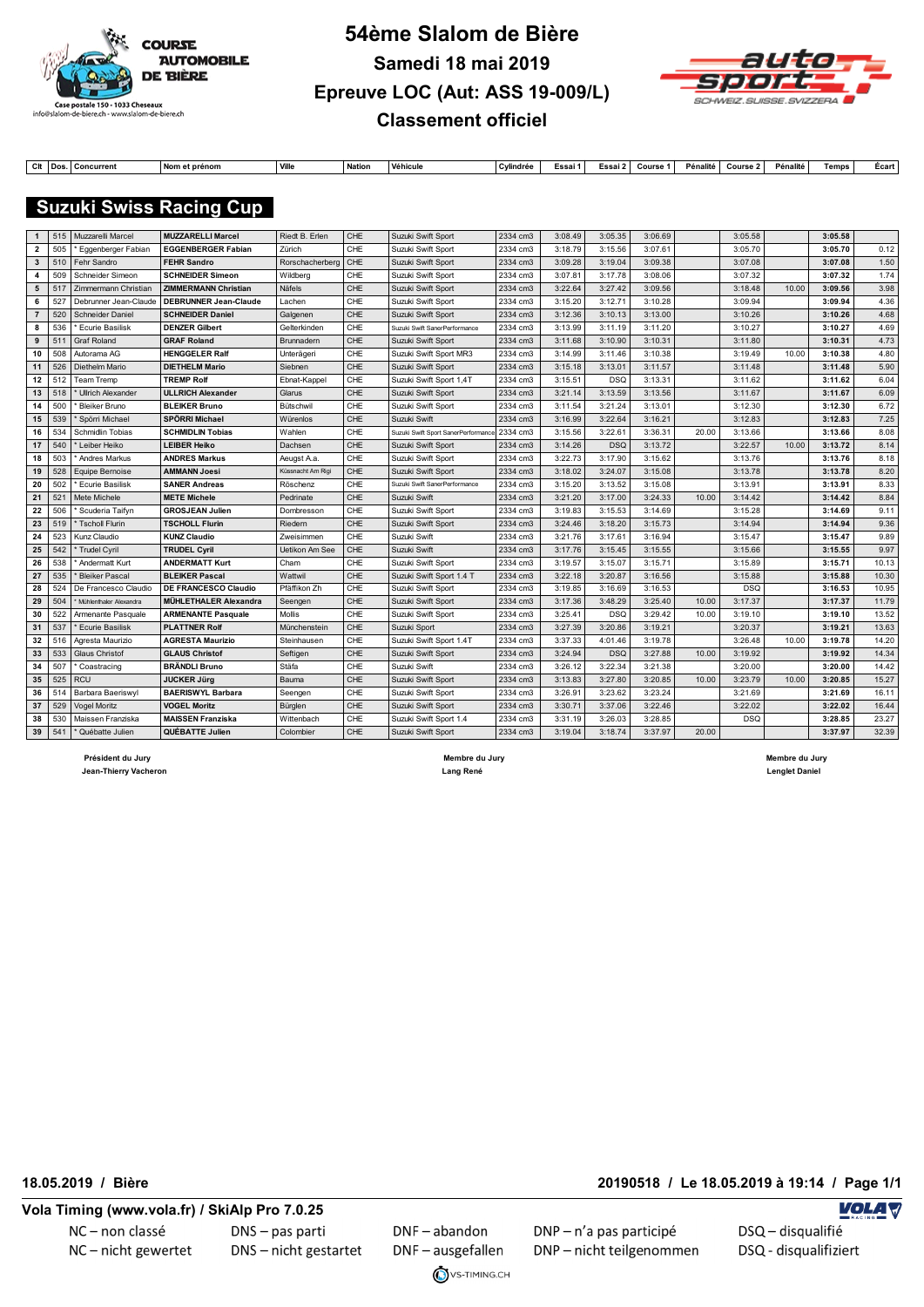



| $\sim$<br> | l Dos | <b>Concurrent</b> | Nom<br>ı et prénom | <b>Vill</b> | Nation. | Véhicule | Cylindrée | Essa | Essai? | Course | . Pénalit⁄ | Course | Pénalité | Temps | E<br>≂сап |
|------------|-------|-------------------|--------------------|-------------|---------|----------|-----------|------|--------|--------|------------|--------|----------|-------|-----------|

#### **Suzuki Swiss Racing Cup**

| $\mathbf{1}$   | 515 | Muzzarelli Marcel        | <b>MUZZARELLI Marcel</b>     | Riedt B. Erlen    | CHE        | Suzuki Swift Sport                  | 2334 cm3 | 3:08.49 | 3:05.35    | 3:06.69 |       | 3:05.58    |       | 3:05.58 |       |
|----------------|-----|--------------------------|------------------------------|-------------------|------------|-------------------------------------|----------|---------|------------|---------|-------|------------|-------|---------|-------|
| 2              | 505 | Eggenberger Fabian       | <b>EGGENBERGER Fabian</b>    | Zürich            | CHE        | Suzuki Swift Sport                  | 2334 cm3 | 3:18.79 | 3:15.56    | 3:07.61 |       | 3:05.70    |       | 3:05.70 | 0.12  |
| 3              | 510 | Fehr Sandro              | <b>FEHR Sandro</b>           | Rorschacherberg   | CHE        | Suzuki Swift Sport                  | 2334 cm3 | 3:09.28 | 3:19.04    | 3:09.38 |       | 3:07.08    |       | 3:07.08 | 1.50  |
| 4              | 509 | Schneider Simeon         | <b>SCHNEIDER Simeon</b>      | Wildberg          | CHE        | Suzuki Swift Sport                  | 2334 cm3 | 3:07.81 | 3:17.78    | 3:08.06 |       | 3:07.32    |       | 3:07.32 | 1.74  |
| 5              | 517 | Zimmermann Christian     | <b>ZIMMERMANN Christian</b>  | Näfels            | CHE        | Suzuki Swift Sport                  | 2334 cm3 | 3:22.64 | 3:27.42    | 3:09.56 |       | 3:18.48    | 10.00 | 3:09.56 | 3.98  |
| 6              | 527 | Debrunner Jean-Claude    | <b>DEBRUNNER Jean-Claude</b> | Lachen            | CHE        | Suzuki Swift Sport                  | 2334 cm3 | 3:15.20 | 3:12.71    | 3:10.28 |       | 3:09.94    |       | 3:09.94 | 4.36  |
| $\overline{7}$ | 520 | <b>Schneider Daniel</b>  | <b>SCHNEIDER Daniel</b>      | Galgenen          | CHE        | Suzuki Swift Sport                  | 2334 cm3 | 3:12.36 | 3:10.13    | 3:13.00 |       | 3:10.26    |       | 3:10.26 | 4.68  |
| 8              | 536 | Ecurie Basilisk          | <b>DENZER Gilbert</b>        | Gelterkinden      | CHE        | Suzuki Swift SanerPerformance       | 2334 cm3 | 3:13.99 | 3:11.19    | 3:11.20 |       | 3:10.27    |       | 3:10.27 | 4.69  |
| 9              | 511 | Graf Roland              | <b>GRAF Roland</b>           | Brunnadern        | CHE        | Suzuki Swift Sport                  | 2334 cm3 | 3:11.68 | 3:10.90    | 3:10.31 |       | 3:11.80    |       | 3:10.31 | 4.73  |
| 10             | 508 | Autorama AG              | <b>HENGGELER Ralf</b>        | Unterägeri        | CHE        | Suzuki Swift Sport MR3              | 2334 cm3 | 3:14.99 | 3:11.46    | 3:10.38 |       | 3:19.49    | 10.00 | 3:10.38 | 4.80  |
| 11             | 526 | Diethelm Mario           | <b>DIETHELM Mario</b>        | Siebnen           | CHE        | Suzuki Swift Sport                  | 2334 cm3 | 3:15.18 | 3:13.01    | 3:11.57 |       | 3:11.48    |       | 3:11.48 | 5.90  |
| 12             | 512 | <b>Team Tremp</b>        | <b>TREMP Rolf</b>            | Ebnat-Kappel      | CHE        | Suzuki Swift Sport 1,4T             | 2334 cm3 | 3:15.51 | DSQ        | 3:13.31 |       | 3:11.62    |       | 3:11.62 | 6.04  |
| 13             | 518 | <b>Ullrich Alexander</b> | <b>ULLRICH Alexander</b>     | Glarus            | <b>CHE</b> | Suzuki Swift Sport                  | 2334 cm3 | 3:21.14 | 3:13.59    | 3:13.56 |       | 3:11.67    |       | 3:11.67 | 6.09  |
| 14             | 500 | <b>Bleiker Bruno</b>     | <b>BLEIKER Bruno</b>         | Bütschwil         | CHE        | Suzuki Swift Sport                  | 2334 cm3 | 3:11.54 | 3:21.24    | 3:13.01 |       | 3:12.30    |       | 3:12.30 | 6.72  |
| 15             | 539 | Spörri Michael           | SPÖRRI Michael               | Würenlos          | CHE        | Suzuki Swift                        | 2334 cm3 | 3:16.99 | 3:22.64    | 3:16.21 |       | 3:12.83    |       | 3:12.83 | 7.25  |
| 16             | 534 | <b>Schmidlin Tobias</b>  | <b>SCHMIDLIN Tobias</b>      | Wahlen            | CHE        | Suzuki Swift Sport SanerPerformance | 2334 cm3 | 3:15.56 | 3:22.61    | 3:36.31 | 20.00 | 3:13.66    |       | 3:13.66 | 8.08  |
| 17             | 540 | Leiber Heiko             | <b>LEIBER Heiko</b>          | Dachsen           | CHE        | Suzuki Swift Sport                  | 2334 cm3 | 3:14.26 | <b>DSQ</b> | 3:13.72 |       | 3:22.57    | 10.00 | 3:13.72 | 8.14  |
| 18             | 503 | Andres Markus            | <b>ANDRES Markus</b>         | Aeugst A.a.       | CHE        | Suzuki Swift Sport                  | 2334 cm3 | 3:22.73 | 3:17.90    | 3:15.62 |       | 3:13.76    |       | 3:13.76 | 8.18  |
| 19             | 528 | Equipe Bernoise          | <b>AMMANN Joesi</b>          | Küssnacht Am Rigi | CHE        | Suzuki Swift Sport                  | 2334 cm3 | 3:18.02 | 3:24.07    | 3:15.08 |       | 3:13.78    |       | 3:13.78 | 8.20  |
| 20             | 502 | Ecurie Basilisk          | <b>SANER Andreas</b>         | Röschenz          | CHE        | Suzuki Swift SanerPerformance       | 2334 cm3 | 3:15.20 | 3:13.52    | 3:15.08 |       | 3:13.91    |       | 3:13.91 | 8.33  |
| 21             | 521 | Mete Michele             | <b>METE Michele</b>          | Pedrinate         | CHE        | Suzuki Swift                        | 2334 cm3 | 3:21.20 | 3:17.00    | 3:24.33 | 10.00 | 3:14.42    |       | 3:14.42 | 8.84  |
| 22             | 506 | Scuderia Taifyn          | <b>GROSJEAN Julien</b>       | Dombresson        | CHE        | Suzuki Swift Sport                  | 2334 cm3 | 3:19.83 | 3:15.53    | 3:14.69 |       | 3:15.28    |       | 3:14.69 | 9.11  |
| 23             | 519 | <b>Tscholl Flurin</b>    | <b>TSCHOLL Flurin</b>        | Riedern           | <b>CHE</b> | Suzuki Swift Sport                  | 2334 cm3 | 3:24.46 | 3:18.20    | 3:15.73 |       | 3:14.94    |       | 3:14.94 | 9.36  |
| 24             | 523 | Kunz Claudio             | <b>KUNZ Claudio</b>          | Zweisimmen        | CHE        | Suzuki Swift                        | 2334 cm3 | 3:21.76 | 3:17.61    | 3:16.94 |       | 3:15.47    |       | 3:15.47 | 9.89  |
| 25             | 542 | <b>Trudel Cyril</b>      | <b>TRUDEL Cyril</b>          | Uetikon Am See    | CHE        | Suzuki Swift                        | 2334 cm3 | 3:17.76 | 3:15.45    | 3:15.55 |       | 3:15.66    |       | 3:15.55 | 9.97  |
| 26             | 538 | Andermatt Kurt           | <b>ANDERMATT Kurt</b>        | Cham              | CHE        | Suzuki Swift Sport                  | 2334 cm3 | 3:19.57 | 3:15.07    | 3:15.71 |       | 3:15.89    |       | 3:15.71 | 10.13 |
| 27             | 535 | <b>Bleiker Pascal</b>    | <b>BLEIKER Pascal</b>        | Wattwil           | CHE        | Suzuki Swift Sport 1.4 T            | 2334 cm3 | 3:22.18 | 3:20.87    | 3:16.56 |       | 3:15.88    |       | 3:15.88 | 10.30 |
| 28             | 524 | De Francesco Claudio     | <b>DE FRANCESCO Claudio</b>  | Pfäffikon Zh      | CHE        | Suzuki Swift Sport                  | 2334 cm3 | 3:19.85 | 3:16.69    | 3:16.53 |       | <b>DSQ</b> |       | 3:16.53 | 10.95 |
| 29             | 504 | Mühlenthaler Alexandra   | <b>MÜHLETHALER Alexandra</b> | Seengen           | CHE        | Suzuki Swift Sport                  | 2334 cm3 | 3:17.36 | 3:48.29    | 3:25.40 | 10.00 | 3:17.37    |       | 3:17.37 | 11.79 |
| 30             | 522 | Armenante Pasquale       | <b>ARMENANTE Pasquale</b>    | <b>Mollis</b>     | CHE        | Suzuki Swift Sport                  | 2334 cm3 | 3:25.41 | <b>DSQ</b> | 3:29.42 | 10.00 | 3:19.10    |       | 3:19.10 | 13.52 |
| 31             | 537 | <b>Ecurie Basilisk</b>   | <b>PLATTNER Rolf</b>         | Münchenstein      | <b>CHE</b> | Suzuki Sport                        | 2334 cm3 | 3:27.39 | 3:20.86    | 3:19.21 |       | 3:20.37    |       | 3:19.21 | 13.63 |
| 32             | 516 | Agresta Maurizio         | <b>AGRESTA Maurizio</b>      | Steinhausen       | CHE        | Suzuki Swift Sport 1.4T             | 2334 cm3 | 3:37.33 | 4:01.46    | 3:19.78 |       | 3:26.48    | 10.00 | 3:19.78 | 14.20 |
| 33             | 533 | Glaus Christof           | <b>GLAUS Christof</b>        | Seftigen          | CHE        | Suzuki Swift Sport                  | 2334 cm3 | 3:24.94 | <b>DSQ</b> | 3:27.88 | 10.00 | 3:19.92    |       | 3:19.92 | 14.34 |
| 34             | 507 | Coastracing              | <b>BRÄNDLI Bruno</b>         | Stäfa             | CHE        | Suzuki Swift                        | 2334 cm3 | 3:26.12 | 3:22.34    | 3:21.38 |       | 3:20.00    |       | 3:20.00 | 14.42 |
| 35             | 525 | <b>RCU</b>               | <b>JUCKER Jürg</b>           | Bauma             | CHE        | Suzuki Swift Sport                  | 2334 cm3 | 3:13.83 | 3:27.80    | 3:20.85 | 10.00 | 3:23.79    | 10.00 | 3:20.85 | 15.27 |
| 36             | 514 | Barbara Baeriswyl        | <b>BAERISWYL Barbara</b>     | Seengen           | CHE        | Suzuki Swift Sport                  | 2334 cm3 | 3:26.91 | 3:23.62    | 3:23.24 |       | 3:21.69    |       | 3:21.69 | 16.11 |
| 37             | 529 | <b>Vogel Moritz</b>      | <b>VOGEL Moritz</b>          | Bürglen           | CHE        | Suzuki Swift Sport                  | 2334 cm3 | 3:30.71 | 3:37.06    | 3:22.46 |       | 3:22.02    |       | 3:22.02 | 16.44 |
| 38             | 530 | Maissen Franziska        | <b>MAISSEN Franziska</b>     | Wittenbach        | CHE        | Suzuki Swift Sport 1.4              | 2334 cm3 | 3:31.19 | 3:26.03    | 3:28.85 |       | <b>DSQ</b> |       | 3:28.85 | 23.27 |
| 39             | 541 | Québatte Julien          | QUÉBATTE Julien              | Colombier         | <b>CHE</b> | Suzuki Swift Sport                  | 2334 cm3 | 3:19.04 | 3:18.74    | 3:37.97 | 20.00 |            |       | 3:37.97 | 32.39 |

 **Président du Jury Membre du Jury Membre du Jury Jean-Thierry Vacheron Lang René Lenglet Daniel** 

**18.05.2019 / Bière 20190518 / Le 18.05.2019 à 19:14 / Page 1/1**

#### **Vola Timing (www.vola.fr) / SkiAlp Pro 7.0.25**

NC-non classé NC-nicht gewertet DNS-pas parti DNS - nicht gestartet

DNF-abandon DNF-ausgefallen VS-TIMING.CH DNP - n'a pas participé DNP-nicht teilgenommen **VOLA V**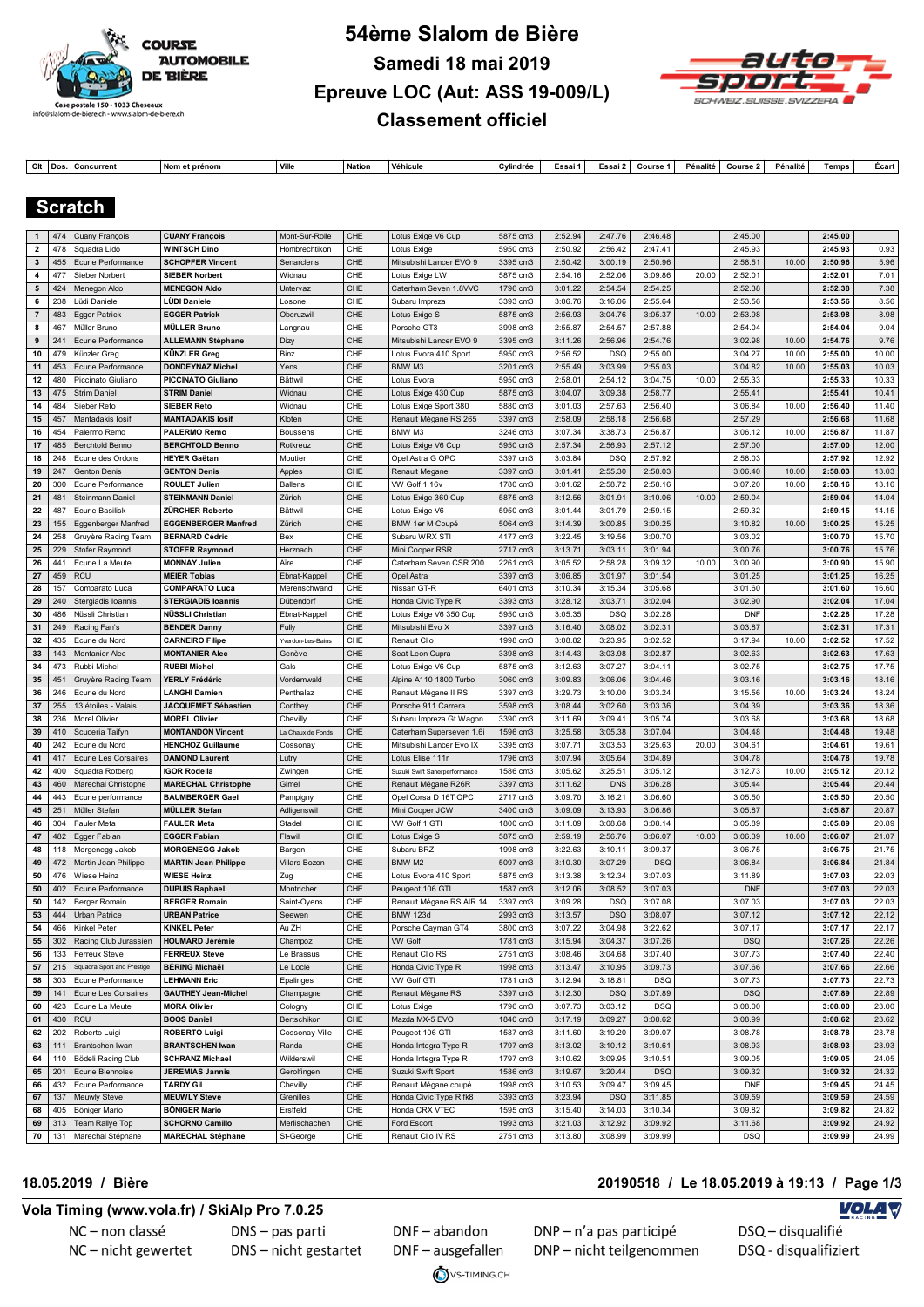



Ctt |Dos. Concurrent |Nomet prénom |Ville |Nation |Véhicule |Cylindrée | Essai 1 | Essai 2 | Course 1 | Pénalité | Course 2 | Pénalité | Temps | Écart

#### **Scratch**

| $\mathbf{1}$            | 474                      | Cuany François                          | <b>CUANY François</b>                               | Mont-Sur-Rolle        | CHE        | Lotus Exige V6 Cup                                | 5875 cm3             | 2:52.94            | 2:47.76            | 2:46.48            |       | 2:45.00               |       | 2:45.00            |                |
|-------------------------|--------------------------|-----------------------------------------|-----------------------------------------------------|-----------------------|------------|---------------------------------------------------|----------------------|--------------------|--------------------|--------------------|-------|-----------------------|-------|--------------------|----------------|
| $\overline{\mathbf{2}}$ | 478                      | Squadra Lido                            | <b>WINTSCH Dino</b>                                 | Hombrechtikon         | CHE        | Lotus Exige                                       | 5950 cm3             | 2:50.92            | 2:56.42            | 2:47.41            |       | 2:45.93               |       | 2:45.93            | 0.93           |
| $\mathbf{3}$            | 455                      | Ecurie Performance                      | <b>SCHOPFER Vincent</b>                             | Senarclens            | CHE        | Mitsubishi Lancer EVO 9                           | 3395 cm3             | 2:50.42            | 3:00.19            | 2:50.96            |       | 2:58.51               | 10.00 | 2:50.96            | 5.96           |
| 4                       | 477                      | Sieber Norbert                          | <b>SIEBER Norbert</b>                               | Widnau                | CHE        | Lotus Exige LW                                    | 5875 cm3             | 2:54.16            | 2:52.06            | 3:09.86            | 20.00 | 2:52.01               |       | 2:52.01            | 7.01           |
| 5                       | 424                      | Menegon Aldo                            | <b>MENEGON Aldo</b>                                 | Untervaz              | CHE        | Caterham Seven 1.8VVC                             | 1796 cm3             | 3:01.22            | 2:54.54            | 2:54.25            |       | 2:52.38               |       | 2:52.38            | 7.38           |
| 6                       | 238                      | Lüdi Daniele                            | LÜDI Daniele                                        | Losone                | CHE        | Subaru Impreza                                    | 3393 cm3             | 3:06.76            | 3:16.06            | 2:55.64            |       | 2:53.56               |       | 2:53.56            | 8.56           |
| $\overline{7}$          | 483                      | <b>Egger Patrick</b>                    | <b>EGGER Patrick</b>                                | Oberuzwil             | CHE        | Lotus Exige S                                     | 5875 cm3             | 2:56.93            | 3:04.76            | 3:05.37            | 10.00 | 2:53.98               |       | 2:53.98            | 8.98           |
| 8                       | 467                      | Müller Bruno                            | <b>MÜLLER Bruno</b>                                 | Langnau               | CHE        | Porsche GT3                                       | 3998 cm3             | 2:55.87            | 2:54.57            | 2:57.88            |       | 2:54.04               |       | 2:54.04            | 9.04           |
| 9                       | 241                      | Ecurie Performance                      | <b>ALLEMANN Stéphane</b>                            | Dizy                  | CHE        | Mitsubishi Lancer EVO 9                           | 3395 cm3             | 3:11.26            | 2:56.96            | 2:54.76            |       | 3:02.98               | 10.00 | 2:54.76            | 9.76           |
| 10                      | 479                      | Künzler Greg                            | KÜNZLER Greg                                        | Binz                  | CHE        | Lotus Evora 410 Sport                             | 5950 cm3             | 2:56.52            | <b>DSQ</b>         | 2:55.00            |       | 3:04.27               | 10.00 | 2:55.00            | 10.00          |
| 11                      | 453                      | Ecurie Performance                      | <b>DONDEYNAZ Michel</b>                             | Yens                  | CHE        | BMW M3                                            | 3201 cm3             | 2:55.49            | 3:03.99            | 2:55.03            |       | 3:04.82               | 10.00 | 2:55.03            | 10.03          |
| 12                      | 480                      | Piccinato Giuliano                      | <b>PICCINATO Giuliano</b>                           | Bättwil               | CHE        | Lotus Evora                                       | 5950 cm3             | 2:58.01            | 2:54.12            | 3:04.75            | 10.00 | 2:55.33               |       | 2:55.33            | 10.33          |
| 13                      | 475                      | <b>Strim Daniel</b>                     | <b>STRIM Daniel</b>                                 | Widnau                | CHE        | Lotus Exige 430 Cup                               | 5875 cm3             | 3:04.07            | 3:09.38            | 2:58.77            |       | 2:55.41               |       | 2:55.41            | 10.41          |
| 14                      | 484                      | Sieber Reto                             | <b>SIEBER Reto</b>                                  | Widnau                | CHE        | Lotus Exige Sport 380                             | 5880 cm3             | 3:01.03            | 2:57.63            | 2:56.40            |       | 3:06.84               | 10.00 | 2:56.40            | 11.40          |
| 15                      | 457                      | Mantadakis losif                        | <b>MANTADAKIS losif</b>                             | Kloten                | CHE        | Renault Mégane RS 265                             | 3397 cm3             | 2:58.09            | 2:58.18            | 2:56.68            |       | 2:57.29               |       | 2:56.68            | 11.68          |
| 16                      | 454                      | Palermo Remo                            | <b>PALERMO Remo</b>                                 | Boussens              | CHE        | BMW M3                                            | 3246 cm3             | 3:07.34            | 3:38.73            | 2:56.87            |       | 3:06.12               | 10.00 | 2:56.87            | 11.87          |
| 17                      | 485                      | <b>Berchtold Benno</b>                  | <b>BERCHTOLD Benno</b>                              | Rotkreuz              | CHE        | Lotus Exige V6 Cup                                | 5950 cm3             | 2:57.34            | 2:56.93            | 2:57.12            |       | 2:57.00               |       | 2:57.00            | 12.00          |
| 18                      | 248                      | Ecurie des Ordons                       | <b>HEYER Gaëtan</b>                                 | Moutier               | CHE        | Opel Astra G OPC                                  | 3397 cm3             | 3:03.84            | <b>DSQ</b>         | 2:57.92            |       | 2:58.03               |       | 2:57.92            | 12.92          |
| 19                      | 247                      | Genton Denis                            | <b>GENTON Denis</b>                                 | Apples                | CHE        | Renault Megane                                    | 3397 cm3             | 3:01.41            | 2:55.30            | 2:58.03            |       | 3:06.40               | 10.00 | 2:58.03            | 13.03          |
| 20                      | 300                      | Ecurie Performance                      | <b>ROULET Julien</b>                                | <b>Ballens</b>        | CHE        | VW Golf 1 16v                                     | 1780 cm3             | 3:01.62            | 2:58.72            | 2:58.16            |       | 3:07.20               | 10.00 | 2:58.16            | 13.16          |
| 21                      | 481                      | Steinmann Daniel                        | <b>STEINMANN Daniel</b>                             | Zürich                | CHE        | Lotus Exige 360 Cup                               | 5875 cm3             | 3:12.56            | 3:01.91            | 3:10.06            | 10.00 | 2:59.04               |       | 2:59.04            | 14.04          |
| 22                      | 487                      | <b>Ecurie Basilisk</b>                  | <b>ZÜRCHER Roberto</b>                              | Bättwil               | CHE        | Lotus Exige V6                                    | 5950 cm3             | 3:01.44            | 3:01.79            | 2:59.15            |       | 2:59.32               |       | 2:59.15            | 14.15          |
| 23                      | 155                      | Eggenberger Manfred                     | <b>EGGENBERGER Manfred</b><br><b>BERNARD Cédric</b> | Zürich<br>Bex         | CHE<br>CHE | BMW 1er M Coupé                                   | 5064 cm3             | 3:14.39            | 3:00.85            | 3:00.25            |       | 3:10.82<br>3:03.02    | 10.00 | 3:00.25<br>3:00.70 | 15.25          |
| 24<br>25                | 258<br>229               | Gruyère Racing Team<br>Stofer Raymond   | <b>STOFER Raymond</b>                               | Herznach              | CHE        | Subaru WRX STI<br>Mini Cooper RSR                 | 4177 cm3<br>2717 cm3 | 3:22.45<br>3:13.71 | 3:19.56<br>3:03.11 | 3:00.70<br>3:01.94 |       | 3:00.76               |       | 3:00.76            | 15.70<br>15.76 |
| 26                      | 441                      | Ecurie La Meute                         | <b>MONNAY Julien</b>                                | Aïre                  | CHE        | Caterham Seven CSR 200                            | 2261 cm3             | 3:05.52            | 2:58.28            | 3:09.32            | 10.00 | 3:00.90               |       | 3:00.90            | 15.90          |
| 27                      | 459                      | <b>RCU</b>                              | <b>MEIER Tobias</b>                                 | Ebnat-Kappel          | CHE        | Opel Astra                                        | 3397 cm3             | 3:06.85            | 3:01.97            | 3:01.54            |       | 3:01.25               |       | 3:01.25            | 16.25          |
| 28                      | 157                      | Comparato Luca                          | <b>COMPARATO Luca</b>                               | Merenschwand          | CHE        | Nissan GT-R                                       | 6401 cm3             | 3:10.34            | 3:15.34            | 3:05.68            |       | 3:01.60               |       | 3:01.60            | 16.60          |
| 29                      | 240                      | Stergiadis Ioannis                      | <b>STERGIADIS loannis</b>                           | Dübendorf             | CHE        | Honda Civic Type R                                | 3393 cm3             | 3:28.12            | 3:03.71            | 3:02.04            |       | 3:02.90               |       | 3:02.04            | 17.04          |
| 30                      | 486                      | Nüssli Christian                        | NÜSSLI Christian                                    | Ebnat-Kappel          | CHE        | Lotus Exige V6 350 Cup                            | 5950 cm3             | 3:05.35            | <b>DSQ</b>         | 3:02.28            |       | <b>DNF</b>            |       | 3:02.28            | 17.28          |
| 31                      | 249                      | Racing Fan's                            | <b>BENDER Danny</b>                                 | Fully                 | CHE        | Mitsubishi Evo X                                  | 3397 cm3             | 3:16.40            | 3:08.02            | 3:02.31            |       | 3:03.87               |       | 3:02.31            | 17.31          |
| 32                      | 435                      | Ecurie du Nord                          | <b>CARNEIRO Filipe</b>                              | Yverdon-Les-Bains     | CHE        | Renault Clio                                      | 1998 cm3             | 3:08.82            | 3:23.95            | 3:02.52            |       | 3:17.94               | 10.00 | 3:02.52            | 17.52          |
| 33                      | 143                      | Montanier Alec                          | <b>MONTANIER Alec</b>                               | Genève                | CHE        | Seat Leon Cupra                                   | 3398 cm3             | 3:14.43            | 3:03.98            | 3:02.87            |       | 3:02.63               |       | 3:02.63            | 17.63          |
| 34                      | 473                      | Rubbi Michel                            | <b>RUBBI Michel</b>                                 | Gals                  | CHE        | Lotus Exige V6 Cup                                | 5875 cm3             | 3:12.63            | 3:07.27            | 3:04.11            |       | 3:02.75               |       | 3:02.75            | 17.75          |
| 35                      | 451                      | Gruyère Racing Team                     | YERLY Frédéric                                      | Vordemwald            | CHE        | Alpine A110 1800 Turbo                            | 3060 cm3             | 3:09.83            | 3:06.06            | 3:04.46            |       | 3:03.16               |       | 3:03.16            | 18.16          |
| 36                      | 246                      | Ecurie du Nord                          | <b>LANGHI Damien</b>                                | Penthalaz             | CHE        | Renault Mégane II RS                              | 3397 cm3             | 3:29.73            | 3:10.00            | 3:03.24            |       | 3:15.56               | 10.00 | 3:03.24            | 18.24          |
| 37                      | 255                      | 13 étoiles - Valais                     | JACQUEMET Sébastien                                 | Conthey               | CHE        | Porsche 911 Carrera                               | 3598 cm3             | 3:08.44            | 3:02.60            | 3:03.36            |       | 3:04.39               |       | 3:03.36            | 18.36          |
| 38                      | 236                      | Morel Olivier                           | <b>MOREL Olivier</b>                                | Chevilly              | CHE        | Subaru Impreza Gt Wagon                           | 3390 cm3             | 3:11.69            | 3:09.41            | 3:05.74            |       | 3:03.68               |       | 3:03.68            | 18.68          |
| 39                      | 410                      | Scuderia Taifyn                         | <b>MONTANDON Vincent</b>                            | La Chaux de Fonds     | CHE        | Caterham Superseven 1.6i                          | 1596 cm3             | 3:25.58            | 3:05.38            | 3:07.04            |       | 3:04.48               |       | 3:04.48            | 19.48          |
| 40                      | 242<br>417               | Ecurie du Nord                          | <b>HENCHOZ Guillaume</b><br><b>DAMOND Laurent</b>   | Cossonay              | CHE<br>CHE | Mitsubishi Lancer Evo IX                          | 3395 cm3<br>1796 cm3 | 3:07.71<br>3:07.94 | 3:03.53<br>3:05.64 | 3:25.63<br>3:04.89 | 20.00 | 3:04.61<br>3:04.78    |       | 3:04.61<br>3:04.78 | 19.61<br>19.78 |
| 41<br>42                | 400                      | Ecurie Les Corsaires<br>Squadra Rotberg | <b>IGOR Rodella</b>                                 | Lutry<br>Zwingen      | CHE        | Lotus Elise 111r<br>Suzuki Swift Sanerperformance | 1586 cm3             | 3:05.62            | 3:25.51            | 3:05.12            |       | 3:12.73               | 10.00 | 3:05.12            | 20.12          |
| 43                      | 460                      | Marechal Christophe                     | <b>MARECHAL Christophe</b>                          | Gimel                 | CHE        | Renault Mégane R26R                               | 3397 cm3             | 3:11.62            | <b>DNS</b>         | 3:06.28            |       | 3:05.44               |       | 3:05.44            | 20.44          |
| 44                      | 443                      | Ecurie performance                      | <b>BAUMBERGER Gael</b>                              | Pampigny              | CHE        | Opel Corsa D 16T OPC                              | 2717 cm3             | 3:09.70            | 3:16.21            | 3:06.60            |       | 3:05.50               |       | 3:05.50            | 20.50          |
| 45                      | 251                      | Müller Stefan                           | MÜLLER Stefan                                       | Adligenswil           | CHE        | Mini Cooper JCW                                   | 3400 cm3             | 3:09.09            | 3:13.93            | 3:06.86            |       | 3:05.87               |       | 3:05.87            | 20.87          |
| 46                      | 304                      | Fauler Meta                             | <b>FAULER Meta</b>                                  | Stadel                | CHE        | VW Golf 1 GTI                                     | 1800 cm3             | 3:11.09            | 3:08.68            | 3:08.14            |       | 3:05.89               |       | 3:05.89            | 20.89          |
| 47                      | 482                      | Egger Fabian                            | <b>EGGER Fabian</b>                                 | Flawil                | CHE        | Lotus Exige S                                     | 5875 cm3             | 2:59.19            | 2:56.76            | 3:06.07            | 10.00 | 3:06.39               | 10.00 | 3:06.07            | 21.07          |
| 48                      | 118                      | Morgenegg Jakob                         | <b>MORGENEGG Jakob</b>                              | Bargen                | CHE        | Subaru BRZ                                        | 1998 cm3             | 3:22.63            | 3:10.11            | 3:09.37            |       | 3:06.75               |       | 3:06.75            | 21.75          |
| 49                      | 472                      | Martin Jean Philippe                    | <b>MARTIN Jean Philippe</b>                         | Villars Bozon         | CHE        | BMW M2                                            | 5097 cm3             | 3:10.30            | 3:07.29            | <b>DSQ</b>         |       | 3:06.84               |       | 3:06.84            | 21.84          |
| 50                      | 476                      | Wiese Heinz                             | <b>WIESE Heinz</b>                                  | Zug                   | CHE        | Lotus Evora 410 Sport                             | 5875 cm3             | 3:13.38            | 3:12.34            | 3:07.03            |       | 3:11.89               |       | 3:07.03            | 22.03          |
| 50                      | 402                      | Ecurie Performance                      | <b>DUPUIS Raphael</b>                               | Montricher            | CHE        | Peugeot 106 GTI                                   | 1587 cm3             | 3:12.06            | 3:08.52            | 3:07.03            |       | <b>DNF</b>            |       | 3:07.03            | 22.03          |
| 50                      | 142                      | Berger Romain                           | <b>BERGER Romain</b>                                | Saint-Oyens           | CHE        | Renault Mégane RS AIR 14                          | 3397 cm3             | 3:09.28            | <b>DSQ</b>         | 3:07.08            |       | 3:07.03               |       | 3:07.03            | 22.03          |
| 53                      | 444                      | <b>Urban Patrice</b>                    | <b>URBAN Patrice</b>                                | Seewen                | CHE        | <b>BMW 123d</b>                                   | 2993 cm3             | 3:13.57            | <b>DSQ</b>         | 3:08.07            |       | 3:07.12               |       | 3:07.12            | 22.12          |
| 54                      |                          | 466   Kinkel Peter                      | <b>KINKEL Peter</b>                                 | Au ZH                 | CHE        | Porsche Cayman GT4                                | 3800 cm3             | 3:07.22            | 3:04.98            | 3:22.62            |       | 3:07.17               |       | 3:07.17            | 22.17          |
| 55<br>56                | 302<br>133               | Racing Club Jurassien<br>Ferreux Steve  | <b>HOUMARD Jérémie</b><br><b>FERREUX Steve</b>      | Champoz<br>Le Brassus | CHE<br>CHE | <b>VW Golf</b><br>Renault Clio RS                 | 1781 cm3<br>2751 cm3 | 3:15.94<br>3:08.46 | 3:04.37<br>3:04.68 | 3:07.26<br>3:07.40 |       | <b>DSQ</b><br>3:07.73 |       | 3:07.26<br>3:07.40 | 22.26<br>22.40 |
| 57                      |                          | Squadra Sport and Prestige              | <b>BÉRING Michaël</b>                               | Le Locle              | CHE        | Honda Civic Type R                                |                      | 3:13.47            | 3:10.95            | 3:09.73            |       | 3:07.66               |       | 3:07.66            | 22.66          |
| 58                      | $\vert 215 \vert$<br>303 | Ecurie Performance                      | <b>LEHMANN Eric</b>                                 | Epalinges             | CHE        | VW Golf GTI                                       | 1998 cm3<br>1781 cm3 | 3:12.94            | 3:18.81            | <b>DSQ</b>         |       | 3:07.73               |       | 3:07.73            | 22.73          |
| 59                      |                          | 141 Ecurie Les Corsaires                | <b>GAUTHEY Jean-Michel</b>                          | Champagne             | CHE        | Renault Mégane RS                                 | 3397 cm3             | 3:12.30            | <b>DSQ</b>         | 3:07.89            |       | <b>DSQ</b>            |       | 3:07.89            | 22.89          |
| 60                      | 423                      | Ecurie La Meute                         | <b>MORA Olivier</b>                                 | Cologny               | CHE        | Lotus Exige                                       | 1796 cm3             | 3:07.73            | 3:03.12            | <b>DSQ</b>         |       | 3:08.00               |       | 3:08.00            | 23.00          |
| 61                      | 430                      | <b>RCU</b>                              | <b>BOOS Daniel</b>                                  | Bertschikon           | CHE        | Mazda MX-5 EVO                                    | 1840 cm3             | 3:17.19            | 3:09.27            | 3:08.62            |       | 3:08.99               |       | 3:08.62            | 23.62          |
| 62                      | 202                      | Roberto Luigi                           | <b>ROBERTO Luigi</b>                                | Cossonay-Ville        | CHE        | Peugeot 106 GTI                                   | 1587 cm3             | 3:11.60            | 3:19.20            | 3:09.07            |       | 3:08.78               |       | 3:08.78            | 23.78          |
| 63                      | 111                      | Brantschen Iwan                         | <b>BRANTSCHEN Iwan</b>                              | Randa                 | CHE        | Honda Integra Type R                              | 1797 cm3             | 3:13.02            | 3:10.12            | 3:10.61            |       | 3:08.93               |       | 3:08.93            | 23.93          |
| 64                      | 110                      | Bödeli Racing Club                      | <b>SCHRANZ Michael</b>                              | Wilderswil            | CHE        | Honda Integra Type R                              | 1797 cm3             | 3:10.62            | 3:09.95            | 3:10.51            |       | 3:09.05               |       | 3:09.05            | 24.05          |
| 65                      | 201                      | Ecurie Biennoise                        | <b>JEREMIAS Jannis</b>                              | Gerolfingen           | CHE        | Suzuki Swift Sport                                | 1586 cm3             | 3:19.67            | 3:20.44            | <b>DSQ</b>         |       | 3:09.32               |       | 3:09.32            | 24.32          |
| 66                      | 432                      | Ecurie Performance                      | <b>TARDY Gil</b>                                    | Chevilly              | CHE        | Renault Mégane coupé                              | 1998 cm3             | 3:10.53            | 3:09.47            | 3:09.45            |       | <b>DNF</b>            |       | 3:09.45            | 24.45          |
| 67                      | 137                      | Meuwly Steve                            | <b>MEUWLY Steve</b>                                 | Grenilles             | CHE        | Honda Civic Type R fk8                            | 3393 cm3             | 3:23.94            | <b>DSQ</b>         | 3:11.85            |       | 3:09.59               |       | 3:09.59            | 24.59          |
| 68                      | 405                      | Böniger Mario                           | <b>BÖNIGER Mario</b>                                | Erstfeld              | CHE        | Honda CRX VTEC                                    | 1595 cm3             | 3:15.40            | 3:14.03            | 3:10.34            |       | 3:09.82               |       | 3:09.82            | 24.82          |
| 69<br>70                |                          | Team Rallye Top                         | <b>SCHORNO Camillo</b>                              | Merlischachen         | CHE        | Ford Escort                                       | 1993 cm3             | 3:21.03            | 3:12.92            | 3:09.92            |       | 3:11.68               |       | 3:09.92            | 24.92          |
|                         | 131                      | Marechal Stéphane                       | <b>MARECHAL Stéphane</b>                            | St-George             | CHE        | Renault Clio IV RS                                | 2751 cm3             | 3:13.80            | 3:08.99            | 3:09.99            |       | <b>DSQ</b>            |       | 3:09.99            | 24.99          |

#### **18.05.2019 / Bière 20190518 / Le 18.05.2019 à 19:13 / Page 1/3**

#### **Vola Timing (www.vola.fr) / SkiAlp Pro 7.0.25**

NC-non classé NC-nicht gewertet DNS - pas parti DNS - nicht gestartet

DNF-abandon DNF-ausgefallen

VS-TIMING.CH

DNP - n'a pas participé DNP-nicht teilgenommen

#### **VOLA V**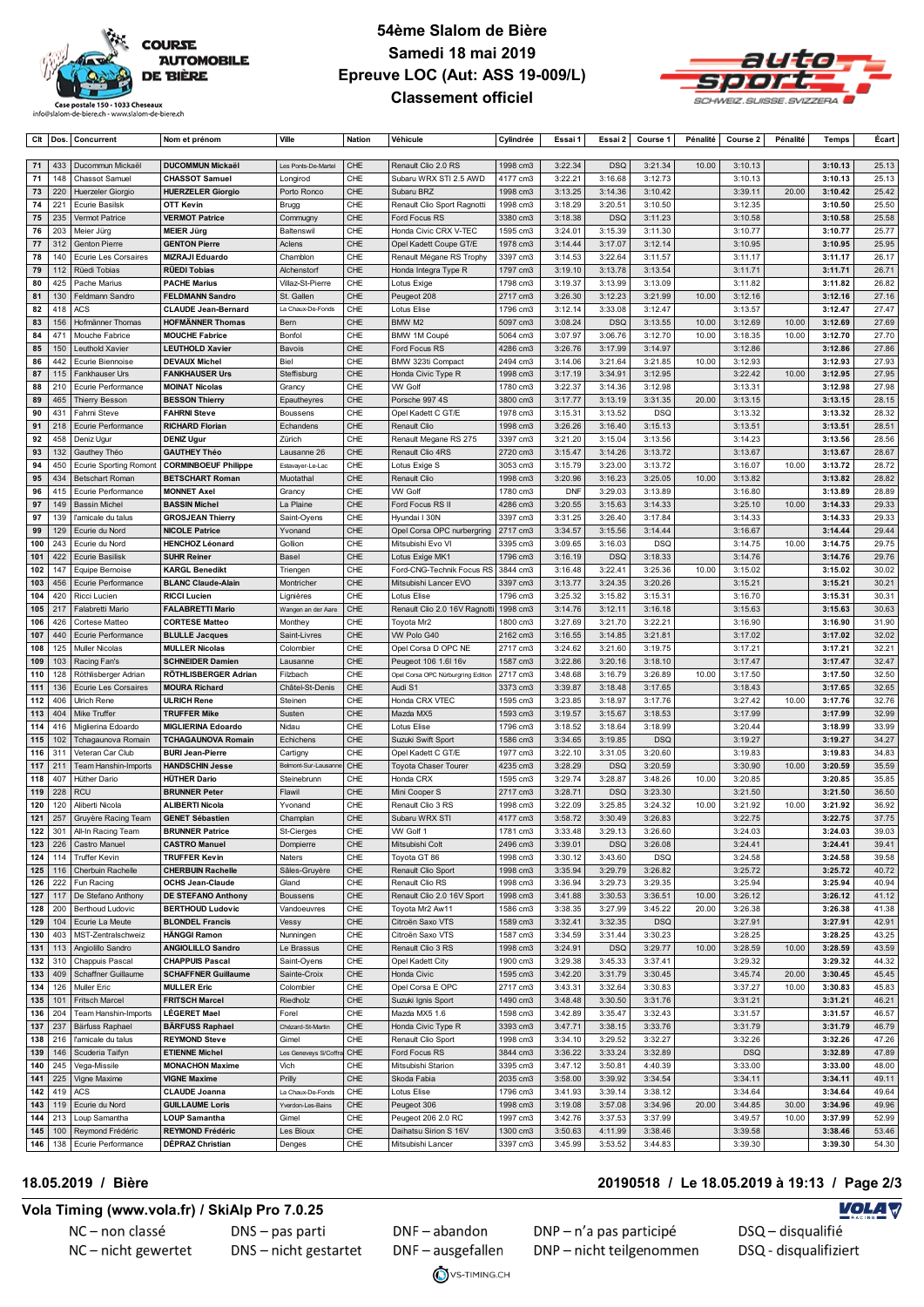

Ctl Dos. Concurrent Nomet prénom Ville Nation Véhicule Cylindrée Essai 1 Essai 2 Course 1 Pénalité Course 2 Pénalité Temps Écart



| 71         | 433            | Ducommun Mickaël                            | <b>DUCOMMUN Mickaël</b>                               | Les Ponts-De-Martel        | CHE         | Renault Clio 2.0 RS                 | 1998 cm3             | 3:22.34            | <b>DSQ</b>         | 3:21.34            | 10.00 | 3:10.13            |       | 3:10.13            | 25.13          |
|------------|----------------|---------------------------------------------|-------------------------------------------------------|----------------------------|-------------|-------------------------------------|----------------------|--------------------|--------------------|--------------------|-------|--------------------|-------|--------------------|----------------|
| 71         | 148            | <b>Chassot Samuel</b>                       | <b>CHASSOT Samuel</b>                                 | Longirod                   | CHE         | Subaru WRX STI 2.5 AWD              | 4177 cm3             | 3:22.21            | 3:16.68            | 3:12.73            |       | 3:10.13            |       | 3:10.13            | 25.13          |
| 73         | 220            | <b>Huerzeler Giorgio</b>                    | <b>HUERZELER Giorgio</b>                              | Porto Ronco                | CHE         | Subaru BRZ                          | 1998 cm3             | 3:13.25            | 3:14.36            | 3:10.42            |       | 3:39.11            | 20.00 | 3:10.42            | 25.42          |
| 74         | 221            | <b>Ecurie Basilsk</b>                       | OTT Kevin                                             | Brugg                      | CHE         | Renault Clio Sport Ragnotti         | 1998 cm3             | 3:18.29            | 3:20.51            | 3:10.50            |       | 3:12.35            |       | 3:10.50            | 25.50          |
| 75         | 235            | Vermot Patrice                              | <b>VERMOT Patrice</b>                                 | Commugny                   | CHE         | Ford Focus RS                       | 3380 cm3             | 3:18.38            | <b>DSQ</b>         | 3:11.23            |       | 3:10.58            |       | 3:10.58            | 25.58          |
| 76         | 203            | Meier Jürg                                  | MEIER Jürg                                            | Baltenswil                 | CHE         | Honda Civic CRX V-TEC               | 1595 cm3             | 3:24.01            | 3:15.39            | 3:11.30            |       | 3:10.77            |       | 3:10.77            | 25.77          |
| ${\bf 77}$ | 312            | Genton Pierre                               | <b>GENTON Pierre</b>                                  | Aclens                     | CHE         | Opel Kadett Coupe GT/E              | 1978 cm3             | 3:14.44            | 3:17.07            | 3:12.14            |       | 3:10.95            |       | 3:10.95            | 25.95          |
| 78         | 140            | <b>Ecurie Les Corsaires</b>                 | <b>MIZRAJI Eduardo</b>                                | Chamblon                   | CHE         | Renault Mégane RS Trophy            | 3397 cm3             | 3:14.53            | 3:22.64            | 3:11.57            |       | 3:11.17            |       | 3:11.17            | 26.17          |
| 79         | 112            | Rüedi Tobias                                | <b>RÜEDI Tobias</b>                                   | Alchenstorf                | CHE<br>CHE  | Honda Integra Type R                | 1797 cm3             | 3:19.10            | 3:13.78            | 3:13.54            |       | 3:11.71            |       | 3:11.71            | 26.71          |
| 80         | 425            | Pache Marius                                | <b>PACHE Marius</b>                                   | Villaz-St-Pierre           |             | Lotus Exige                         | 1798 cm3             | 3:19.37            | 3:13.99            | 3:13.09            |       | 3:11.82            |       | 3:11.82            | 26.82          |
| 81         | 130            | Feldmann Sandro                             | <b>FELDMANN Sandro</b>                                | St. Gallen                 | CHE         | Peugeot 208                         | 2717 cm3             | 3:26.30            | 3:12.23            | 3:21.99            | 10.00 | 3:12.16            |       | 3:12.16            | 27.16          |
| 82         | 418            | <b>ACS</b>                                  | <b>CLAUDE Jean-Bernard</b><br><b>HOFMÄNNER Thomas</b> | La Chaux-De-Fonds          | CHE         | Lotus Elise<br>BMW M2               | 1796 cm3             | 3:12.14            | 3:33.08            | 3:12.47            |       | 3:13.57            |       | 3:12.47            | 27.47          |
| 83         | 156            | Hofmänner Thomas                            |                                                       | Bern                       | CHE         |                                     | 5097 cm3             | 3:08.24            | <b>DSQ</b>         | 3:13.55            | 10.00 | 3:12.69            | 10.00 | 3:12.69            | 27.69          |
| 84<br>85   | 471<br>150     | Mouche Fabrice<br>Leuthold Xavier           | <b>MOUCHE Fabrice</b><br><b>LEUTHOLD Xavier</b>       | Bonfol<br>Bavois           | CHE<br>CHE  | BMW 1M Coupé<br>Ford Focus RS       | 5064 cm3<br>4286 cm3 | 3:07.97            | 3:06.76<br>3:17.99 | 3:12.70<br>3:14.97 | 10.00 | 3:18.35<br>3:12.86 | 10.00 | 3:12.70<br>3:12.86 | 27.70<br>27.86 |
| 86         | 442            | Ecurie Biennoise                            | <b>DEVAUX Michel</b>                                  | Biel                       | CHE         | BMW 323ti Compact                   | 2494 cm3             | 3:26.76<br>3:14.06 | 3:21.64            | 3:21.85            | 10.00 | 3:12.93            |       | 3:12.93            | 27.93          |
| 87         | 115            | Fankhauser Urs                              | <b>FANKHAUSER Urs</b>                                 | Steffisburg                | CHE         | Honda Civic Type R                  | 1998 cm3             | 3:17.19            | 3:34.91            | 3:12.95            |       | 3:22.42            | 10.00 | 3:12.95            | 27.95          |
| 88         | 210            |                                             | <b>MOINAT Nicolas</b>                                 |                            | CHE         | <b>VW Golf</b>                      | 1780 cm3             | 3:22.37            | 3:14.36            | 3:12.98            |       | 3:13.31            |       | 3:12.98            | 27.98          |
| 89         | 465            | Ecurie Performance<br><b>Thierry Besson</b> | <b>BESSON Thierry</b>                                 | Grancy                     | CHE         | Porsche 997 4S                      | 3800 cm3             | 3:17.77            | 3:13.19            | 3:31.35            | 20.00 | 3:13.15            |       | 3:13.15            | 28.15          |
| 90         | 431            | Fahrni Steve                                | <b>FAHRNI Steve</b>                                   | Epautheyres<br>Boussens    | CHE         | Opel Kadett C GT/E                  | 1978 cm3             | 3:15.31            | 3:13.52            | <b>DSQ</b>         |       | 3:13.32            |       | 3:13.32            | 28.32          |
| 91         | 218            | Ecurie Performance                          | <b>RICHARD Florian</b>                                | Echandens                  | CHE         | Renault Clio                        | 1998 cm3             | 3:26.26            | 3:16.40            | 3:15.13            |       | 3:13.51            |       | 3:13.51            | 28.51          |
| 92         | 458            | Deniz Ugur                                  | <b>DENIZ Ugur</b>                                     | Zürich                     | CHE         | Renault Megane RS 275               | 3397 cm3             | 3:21.20            | 3:15.04            | 3:13.56            |       | 3:14.23            |       | 3:13.56            | 28.56          |
| 93         | 132            | Gauthey Théo                                | <b>GAUTHEY Théo</b>                                   | Lausanne 26                | CHE         | Renault Clio 4RS                    | 2720 cm3             | 3:15.47            | 3:14.26            | 3:13.72            |       | 3:13.67            |       | 3:13.67            | 28.67          |
| 94         | 450            | <b>Ecurie Sporting Romont</b>               | <b>CORMINBOEUF Philippe</b>                           | Estavayer-Le-Lac           | CHE         | Lotus Exige S                       | 3053 cm3             | 3:15.79            | 3:23.00            | 3:13.72            |       | 3:16.07            | 10.00 | 3:13.72            | 28.72          |
| 95         | 434            | <b>Betschart Roman</b>                      | <b>BETSCHART Roman</b>                                | Muotathal                  | CHE         | Renault Clio                        | 1998 cm3             | 3:20.96            | 3:16.23            | 3:25.05            | 10.00 | 3:13.82            |       | 3:13.82            | 28.82          |
| 96         | 415            | Ecurie Performance                          | <b>MONNET Axel</b>                                    | Grancy                     | CHE         | <b>VW Golf</b>                      | 1780 cm3             | <b>DNF</b>         | 3:29.03            | 3:13.89            |       | 3:16.80            |       | 3:13.89            | 28.89          |
| 97         | 149            | <b>Bassin Michel</b>                        | <b>BASSIN Michel</b>                                  | La Plaine                  | CHE         | Ford Focus RS II                    | 4286 cm3             | 3:20.55            | 3:15.63            | 3:14.33            |       | 3:25.10            | 10.00 | 3:14.33            | 29.33          |
| 97         | 139            | l'amicale du talus                          | <b>GROSJEAN Thierry</b>                               | Saint-Oyens                | CHE         | Hyundai I 30N                       | 3397 cm3             | 3:31.25            | 3:26.40            | 3:17.84            |       | 3:14.33            |       | 3:14.33            | 29.33          |
| 99         | 129            | Ecurie du Nord                              | <b>NICOLE Patrice</b>                                 | Yvonand                    | CHE         | Opel Corsa OPC nurbergring          | 2717 cm3             | 3:34.57            | 3:15.56            | 3:14.44            |       | 3:16.67            |       | 3:14.44            | 29.44          |
| 100        | 243            | Ecurie du Nord                              | <b>HENCHOZ Léonard</b>                                | Gollion                    | CHE         | Mitsubishi Evo VI                   | 3395 cm3             | 3:09.65            | 3:16.03            | <b>DSQ</b>         |       | 3:14.75            | 10.00 | 3:14.75            | 29.75          |
| 101        | 422            | <b>Ecurie Basilisk</b>                      | <b>SUHR Reiner</b>                                    | Basel                      | CHE         | Lotus Exige MK1                     | 1796 cm3             | 3:16.19            | <b>DSQ</b>         | 3:18.33            |       | 3:14.76            |       | 3:14.76            | 29.76          |
| 102        | 147            | Equipe Bernoise                             | <b>KARGL Benedikt</b>                                 | Triengen                   | CHE         | Ford-CNG-Technik Focus RS           | 3844 cm3             | 3:16.48            | 3:22.41            | 3:25.36            | 10.00 | 3:15.02            |       | 3:15.02            | 30.02          |
| 103        | 456            | Ecurie Performance                          | <b>BLANC Claude-Alain</b>                             | Montricher                 | CHE         | Mitsubishi Lancer EVO               | 3397 cm3             | 3:13.77            | 3:24.35            | 3:20.26            |       | 3:15.21            |       | 3:15.21            | 30.21          |
| 104        | 420            | Ricci Lucien                                | <b>RICCI Lucien</b>                                   | Lignières                  | CHE         | Lotus Elise                         | 1796 cm3             | 3:25.32            | 3:15.82            | 3:15.31            |       | 3:16.70            |       | 3:15.31            | 30.31          |
| 105        | 217            | Falabretti Mario                            | <b>FALABRETTI Mario</b>                               | Wangen an der Aare         | CHE         | Renault Clio 2.0 16V Ragnotti       | 1998 cm3             | 3:14.76            | 3:12.11            | 3:16.18            |       | 3:15.63            |       | 3:15.63            | 30.63          |
| 106        | 426            | Cortese Matteo                              | <b>CORTESE Matteo</b>                                 | Monthey                    | CHE         | Toyota Mr2                          | 1800 cm3             | 3:27.69            | 3:21.70            | 3:22.21            |       | 3:16.90            |       | 3:16.90            | 31.90          |
| 107        | 440            | Ecurie Performance                          | <b>BLULLE Jacques</b>                                 | Saint-Livres               | CHE         | VW Polo G40                         | 2162 cm3             | 3:16.55            | 3:14.85            | 3:21.81            |       | 3:17.02            |       | 3:17.02            | 32.02          |
| 108        | 125            | <b>Muller Nicolas</b>                       | <b>MULLER Nicolas</b>                                 | Colombier                  | CHE         | Opel Corsa D OPC NE                 | 2717 cm3             | 3:24.62            | 3:21.60            | 3:19.75            |       | 3:17.21            |       | 3:17.21            | 32.21          |
| 109        | 103            | Racing Fan's                                | <b>SCHNEIDER Damien</b>                               | Lausanne                   | CHE         | Peugeot 106 1.6I 16v                | 1587 cm3             | 3:22.86            | 3:20.16            | 3:18.10            |       | 3:17.47            |       | 3:17.47            | 32.47          |
| 110        | 128            | Röthlisberger Adrian                        | RÖTHLISBERGER Adrian                                  | Filzbach                   | CHE         | Opel Corsa OPC Nürburgring Edition  | 2717 cm3             | 3:48.68            | 3:16.79            | 3:26.89            | 10.00 | 3:17.50            |       | 3:17.50            | 32.50          |
| 111        | 136            | <b>Ecurie Les Corsaires</b>                 | <b>MOURA Richard</b>                                  | Châtel-St-Denis            | CHE         | Audi S1                             | 3373 cm3             | 3:39.87            | 3:18.48            | 3:17.65            |       | 3:18.43            |       | 3:17.65            | 32.65          |
| 112        | 406            | <b>Ulrich Rene</b>                          | <b>ULRICH Rene</b>                                    | Steinen                    | CHE         | Honda CRX VTEC                      | 1595 cm3             | 3:23.85            | 3:18.97            | 3:17.76            |       | 3:27.42            | 10.00 | 3:17.76            | 32.76          |
| 113        | 404            | Mike Truffer                                | <b>TRUFFER Mike</b>                                   | Susten                     | CHE         | Mazda MX5                           | 1593 cm3             | 3:19.57            | 3:15.67            | 3:18.53            |       | 3:17.99            |       | 3:17.99            | 32.99          |
| 114        | 416            | Miglierina Edoardo                          | <b>MIGLIERINA Edoardo</b>                             | Nidau                      | CHE         | Lotus Elise                         | 1796 cm3             | 3:18.52            | 3:18.64            | 3:18.99            |       | 3:20.44            |       | 3:18.99            | 33.99          |
| 115        | 102            | Tchagaunova Romain                          | <b>TCHAGAUNOVA Romain</b>                             | Echichens                  | CHE         | Suzuki Swift Sport                  | 1586 cm3             | 3:34.65            | 3:19.85            | <b>DSQ</b>         |       | 3:19.27            |       | 3:19.27            | 34.27          |
| 116        | 311            | Veteran Car Club                            | <b>BURI Jean-Pierre</b>                               | Cartigny                   | CHE         | Opel Kadett C GT/E                  | 1977 cm3             | 3:22.10            | 3:31.05            | 3:20.60            |       | 3:19.83            |       | 3:19.83            | 34.83          |
| 117        | 211            | Team Hanshin-Imports                        | <b>HANDSCHIN Jesse</b>                                | Belmont-Sur-Lausanne       | CHE         | <b>Toyota Chaser Tourer</b>         | 4235 cm3             | 3:28.29            | <b>DSQ</b>         | 3:20.59            |       | 3:30.90            | 10.00 | 3:20.59            | 35.59          |
| 118        | 407            | Hüther Dario                                | <b>HÜTHER Dario</b>                                   | Steinebrunn                | CHE         | Honda CRX                           | 1595 cm3             | 3:29.74            | 3:28.87            | 3:48.26            | 10.00 | 3:20.85            |       | 3:20.85            | 35.85          |
| 119        | 228            | <b>RCU</b>                                  | <b>BRUNNER Peter</b>                                  | Flawil                     | CHE         | Mini Cooper S                       | 2717 cm3             | 3:28.71            | <b>DSQ</b>         | 3:23.30            |       | 3:21.50            |       | 3:21.50            | 36.50          |
| 120        | 120            | Aliberti Nicola                             | <b>ALIBERTI Nicola</b>                                | Yvonand                    | CHE         | Renault Clio 3 RS                   | 1998 cm3             | 3:22.09            | 3:25.85            | 3:24.32            | 10.00 | 3:21.92            | 10.00 | 3:21.92            | 36.92          |
| 121        | 257            | Gruyère Racing Team                         | <b>GENET Sébastien</b>                                | Champlan                   | CHE         | Subaru WRX STI                      | 4177 cm3             | 3:58.72            | 3:30.49            | 3:26.83            |       | 3:22.75            |       | 3:22.75            | 37.75          |
| 122        | 301            | All-In Racing Team                          | <b>BRUNNER Patrice</b>                                | St-Cierges                 | CHE         | VW Golf 1                           | 1781 cm3             | 3:33.48            | 3:29.13            | 3:26.60            |       | 3:24.03            |       | 3:24.03            | 39.03          |
|            |                | 123 226 Castro Manuel                       | <b>CASTRO Manuel</b>                                  | Dompierre                  | ${\sf CHE}$ | Mitsubishi Colt                     | 2496 cm3             | 3:39.01            | DSQ                | 3:26.08            |       | 3:24.41            |       | 3:24.41            | 39.41          |
| 124        |                | 114 Truffer Kevin                           | TRUFFER Kevin                                         | Naters                     | CHE         | Toyota GT 86                        | 1998 cm3             | 3:30.12            | 3:43.60            | <b>DSQ</b>         |       | 3:24.58            |       | 3:24.58            | 39.58          |
| 125        | 116            | Cherbuin Rachelle                           | <b>CHERBUIN Rachelle</b>                              | Sâles-Gruyère              | CHE         | Renault Clio Sport                  | 1998 cm3             | 3:35.94            | 3:29.79            | 3:26.82            |       | 3:25.72            |       | 3:25.72            | 40.72          |
|            | 126 222        | Fun Racing                                  | <b>OCHS Jean-Claude</b>                               | Gland                      | CHE         | Renault Clio RS                     | 1998 cm3             | 3:36.94            | 3:29.73            | 3:29.35            |       | 3:25.94            |       | 3:25.94            | 40.94          |
| 127        | 117            | De Stefano Anthony                          | <b>DE STEFANO Anthony</b>                             | <b>Boussens</b>            | CHE         | Renault Clio 2.0 16V Sport          | 1998 cm3             | 3:41.88            | 3:30.53            | 3:36.51            | 10.00 | 3:26.12            |       | 3:26.12            | 41.12          |
| 128        | 200            | <b>Berthoud Ludovic</b>                     | <b>BERTHOUD Ludovic</b>                               | Vandoeuvres                | CHE         | Toyota Mr2 Aw11                     | 1586 cm3             | 3:38.35            | 3:27.99            | 3:45.22            | 20.00 | 3:26.38            |       | 3:26.38            | 41.38          |
| 129        | 104            | Ecurie La Meute                             | <b>BLONDEL Francis</b>                                | Vessy                      | CHE         | Citroën Saxo VTS                    | 1589 cm3             | 3:32.41            | 3:32.35            | <b>DSQ</b>         |       | 3:27.91            |       | 3:27.91            | 42.91          |
| 130        | 403            | MST-Zentralschweiz                          | <b>HÄNGGI Ramon</b>                                   | Nunningen                  | CHE         | Citroën Saxo VTS                    | 1587 cm3             | 3:34.59            | 3:31.44            | 3:30.23            |       | 3:28.25            |       | 3:28.25            | 43.25          |
|            | $131$   113    | Angiolillo Sandro                           | <b>ANGIOLILLO Sandro</b>                              | Le Brassus                 | CHE         | Renault Clio 3 RS                   | 1998 cm3             | 3:24.91            | <b>DSQ</b>         | 3:29.77            | 10.00 | 3:28.59            | 10.00 | 3:28.59            | 43.59          |
| 132        | 310            | Chappuis Pascal                             | CHAPPUIS Pascal                                       | Saint-Oyens                | CHE         | Opel Kadett City                    | 1900 cm3             | 3:29.38            | 3:45.33            | 3:37.41            |       | 3:29.32            |       | 3:29.32            | 44.32          |
| 133        | 409            | Schaffner Guillaume                         | <b>SCHAFFNER Guillaume</b>                            | Sainte-Croix               | CHE         | Honda Civic                         | 1595 cm3             | 3:42.20            | 3:31.79            | 3:30.45            |       | 3:45.74            | 20.00 | 3:30.45            | 45.45          |
| 134        | 126            | Muller Eric                                 | <b>MULLER Eric</b>                                    | Colombier                  | CHE         | Opel Corsa E OPC                    | 2717 cm3             | 3:43.31            | 3:32.64            | 3:30.83            |       | 3:37.27            | 10.00 | 3:30.83            | 45.83          |
| 135        | 101            | <b>Fritsch Marcel</b>                       | <b>FRITSCH Marcel</b>                                 | Riedholz                   | CHE         | Suzuki Ignis Sport                  | 1490 cm3             | 3:48.48            | 3:30.50            | 3:31.76            |       | 3:31.21            |       | 3:31.21            | 46.21          |
| 137        | 136 204<br>237 | Team Hanshin-Imports<br>Bärfuss Raphael     | <b>LÉGERET Mael</b><br>BÄRFUSS Raphael                | Forel<br>Chézard-St-Martin | CHE<br>CHE  | Mazda MX5 1.6<br>Honda Civic Type R | 1598 cm3<br>3393 cm3 | 3:42.89<br>3:47.71 | 3:35.47<br>3:38.15 | 3:32.43<br>3:33.76 |       | 3:31.57<br>3:31.79 |       | 3:31.57<br>3:31.79 | 46.57<br>46.79 |
| 138        | 216            | l'amicale du talus                          | <b>REYMOND Steve</b>                                  | Gimel                      | CHE         | Renault Clio Sport                  | 1998 cm3             | 3:34.10            | 3:29.52            | 3:32.27            |       | 3:32.26            |       | 3:32.26            | 47.26          |
| 139        | 146            | Scuderia Taifyn                             | <b>ETIENNE Michel</b>                                 | Les Geneveys S/Coffra      | CHE         | Ford Focus RS                       | 3844 cm3             | 3:36.22            | 3:33.24            | 3:32.89            |       | <b>DSQ</b>         |       | 3:32.89            | 47.89          |
| 140        | 245            | Vega-Missile                                | <b>MONACHON Maxime</b>                                | Vich                       | CHE         | Mitsubishi Starion                  | 3395 cm3             | 3:47.12            | 3:50.81            | 4:40.39            |       | 3:33.00            |       | 3:33.00            | 48.00          |
|            | $141 \mid 225$ | Vigne Maxime                                | <b>VIGNE Maxime</b>                                   | Prilly                     | CHE         | Skoda Fabia                         | 2035 cm3             | 3:58.00            | 3:39.92            | 3:34.54            |       | 3:34.11            |       | 3:34.11            | 49.11          |
| 142        | 419            | ACS                                         | <b>CLAUDE Joanna</b>                                  | La Chaux-De-Fonds          | CHE         | Lotus Elise                         | 1796 cm3             | 3:41.93            | 3:39.14            | 3:38.12            |       | 3:34.64            |       | 3:34.64            | 49.64          |
| 143        | 119            | Ecurie du Nord                              | <b>GUILLAUME Loris</b>                                | Yverdon-Les-Bains          | CHE         | Peugeot 306                         | 1998 cm3             | 3:19.08            | 3:57.08            | 3:34.96            | 20.00 | 3:44.85            | 30.00 | 3:34.96            | 49.96          |
| 144        | 213            | Loup Samantha                               | <b>LOUP Samantha</b>                                  | Gimel                      | CHE         | Peugeot 206 2.0 RC                  | 1997 cm3             | 3:42.76            | 3:37.53            | 3:37.99            |       | 3:49.57            | 10.00 | 3:37.99            | 52.99          |
| 145        | 100            | Reymond Frédéric                            | <b>REYMOND Frédéric</b>                               | Les Bioux                  | CHE         | Daihatsu Sirion S 16V               | 1300 cm3             | 3:50.63            | 4:11.99            | 3:38.46            |       | 3:39.58            |       | 3:38.46            | 53.46          |
|            |                | 146   138   Ecurie Performance              | DÉPRAZ Christian                                      | Denges                     | CHE         | Mitsubishi Lancer                   | 3397 cm3             | 3:45.99            | 3:53.52            | 3:44.83            |       | 3:39.30            |       | 3:39.30            | 54.30          |
|            |                |                                             |                                                       |                            |             |                                     |                      |                    |                    |                    |       |                    |       |                    |                |

#### **18.05.2019 / Bière 20190518 / Le 18.05.2019 à 19:13 / Page 2/3**

#### **Vola Timing (www.vola.fr) / SkiAlp Pro 7.0.25**

NC-non classé NC-nicht gewertet DNS - pas parti DNS - nicht gestartet

DNF-abandon DNF-ausgefallen

VS-TIMING.CH

DNP - n'a pas participé DNP-nicht teilgenommen

#### **VOLA V**